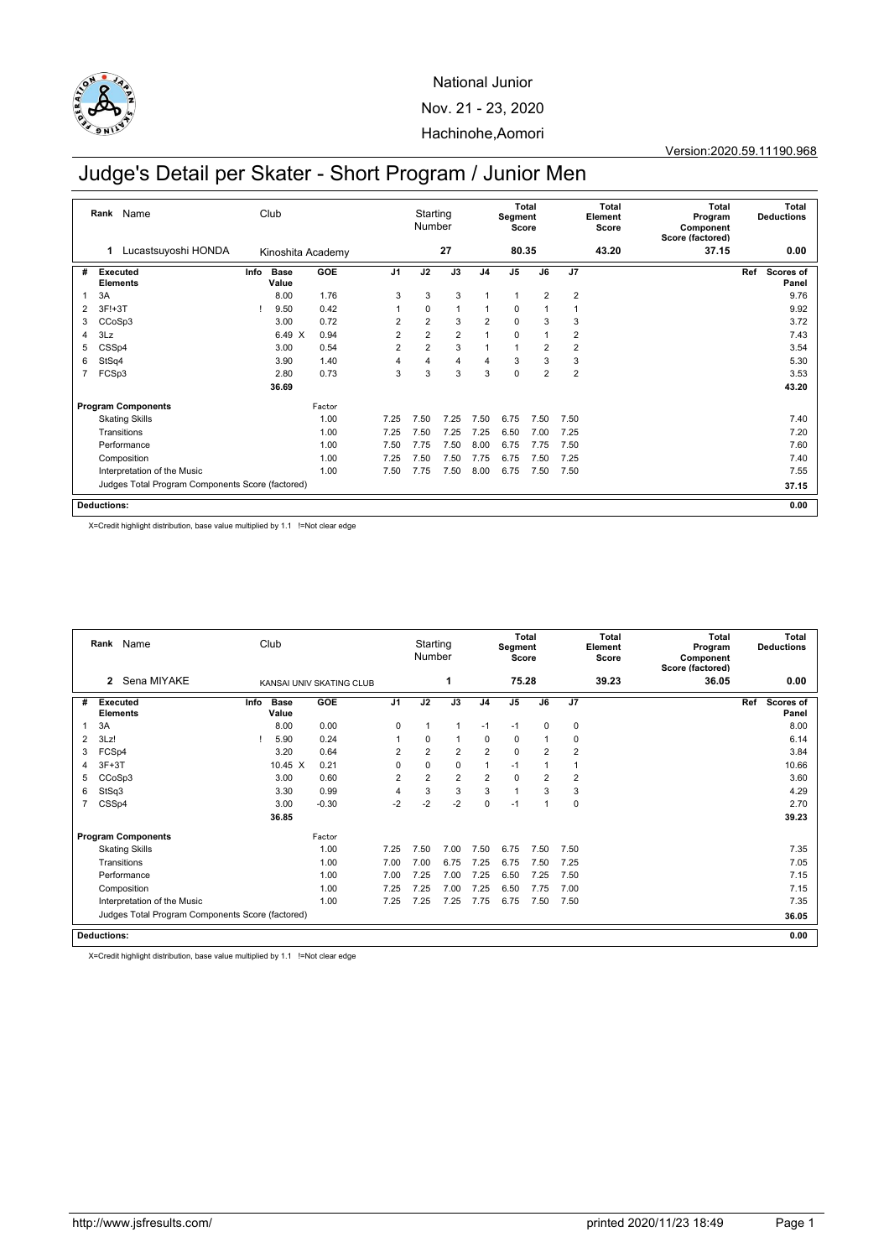

#### Version:2020.59.11190.968

# Judge's Detail per Skater - Short Program / Junior Men

|   | Name<br>Rank                                     |      | Club                 |            |                | Starting<br>Number |                |                | Segment<br>Score | <b>Total</b>   |                | Total<br>Element<br>Score | <b>Total</b><br>Program<br>Component<br>Score (factored) | Total<br><b>Deductions</b> |  |
|---|--------------------------------------------------|------|----------------------|------------|----------------|--------------------|----------------|----------------|------------------|----------------|----------------|---------------------------|----------------------------------------------------------|----------------------------|--|
|   | Lucastsuyoshi HONDA<br>1                         |      | Kinoshita Academy    |            |                |                    | 27             |                | 80.35            |                |                | 43.20                     | 37.15                                                    | 0.00                       |  |
| # | Executed<br><b>Elements</b>                      | Info | <b>Base</b><br>Value | <b>GOE</b> | J <sub>1</sub> | J2                 | J3             | J <sub>4</sub> | J <sub>5</sub>   | J6             | J7             |                           |                                                          | Ref<br>Scores of<br>Panel  |  |
|   | 3A                                               |      | 8.00                 | 1.76       | 3              | 3                  | 3              | 1              | 1                | $\overline{2}$ | $\overline{2}$ |                           |                                                          | 9.76                       |  |
| 2 | 3F!+3T                                           |      | 9.50                 | 0.42       | 1              | $\Omega$           |                | 1              | $\Omega$         |                | 1              |                           |                                                          | 9.92                       |  |
| 3 | CCoSp3                                           |      | 3.00                 | 0.72       | $\overline{2}$ | $\overline{2}$     | 3              | $\overline{2}$ | 0                | 3              | 3              |                           |                                                          | 3.72                       |  |
| 4 | 3Lz                                              |      | $6.49 \text{ X}$     | 0.94       | $\overline{2}$ | $\overline{2}$     | 2              | 1              | 0                | 1              | 2              |                           |                                                          | 7.43                       |  |
| 5 | CSS <sub>p4</sub>                                |      | 3.00                 | 0.54       | $\overline{2}$ | $\overline{2}$     | 3              | 1              | $\overline{1}$   | $\overline{2}$ | $\overline{2}$ |                           |                                                          | 3.54                       |  |
| 6 | StSq4                                            |      | 3.90                 | 1.40       | 4              | 4                  | $\overline{4}$ | $\overline{4}$ | 3                | 3              | 3              |                           |                                                          | 5.30                       |  |
|   | FCSp3                                            |      | 2.80                 | 0.73       | 3              | 3                  | 3              | 3              | 0                | $\overline{2}$ | $\overline{2}$ |                           |                                                          | 3.53                       |  |
|   |                                                  |      | 36.69                |            |                |                    |                |                |                  |                |                |                           |                                                          | 43.20                      |  |
|   | <b>Program Components</b>                        |      |                      | Factor     |                |                    |                |                |                  |                |                |                           |                                                          |                            |  |
|   | <b>Skating Skills</b>                            |      |                      | 1.00       | 7.25           | 7.50               | 7.25           | 7.50           | 6.75             | 7.50           | 7.50           |                           |                                                          | 7.40                       |  |
|   | Transitions                                      |      |                      | 1.00       | 7.25           | 7.50               | 7.25           | 7.25           | 6.50             | 7.00           | 7.25           |                           |                                                          | 7.20                       |  |
|   | Performance                                      |      |                      | 1.00       | 7.50           | 7.75               | 7.50           | 8.00           | 6.75             | 7.75           | 7.50           |                           |                                                          | 7.60                       |  |
|   | Composition                                      |      |                      | 1.00       | 7.25           | 7.50               | 7.50           | 7.75           | 6.75             | 7.50           | 7.25           |                           |                                                          | 7.40                       |  |
|   | Interpretation of the Music                      |      |                      | 1.00       | 7.50           | 7.75               | 7.50           | 8.00           | 6.75             | 7.50           | 7.50           |                           |                                                          | 7.55                       |  |
|   | Judges Total Program Components Score (factored) |      |                      |            |                |                    |                |                |                  |                |                |                           |                                                          | 37.15                      |  |
|   | <b>Deductions:</b>                               |      |                      |            |                |                    |                |                |                  |                |                |                           |                                                          | 0.00                       |  |

X=Credit highlight distribution, base value multiplied by 1.1 !=Not clear edge

|   | Club<br>Rank<br>Name<br>Sena MIYAKE<br>$\mathbf{2}$ |      |                      |                          |                | Starting<br>Number |                |                | <b>Total</b><br>Segment<br>Score |                |                | Total<br>Element<br>Score | Total<br>Program<br>Component<br>Score (factored) |     | Total<br><b>Deductions</b> |
|---|-----------------------------------------------------|------|----------------------|--------------------------|----------------|--------------------|----------------|----------------|----------------------------------|----------------|----------------|---------------------------|---------------------------------------------------|-----|----------------------------|
|   |                                                     |      |                      | KANSAI UNIV SKATING CLUB |                |                    | 1              |                | 75.28                            |                |                | 39.23                     | 36.05                                             |     | 0.00                       |
| # | <b>Executed</b><br><b>Elements</b>                  | Info | <b>Base</b><br>Value | <b>GOE</b>               | J <sub>1</sub> | J2                 | J3             | J <sub>4</sub> | J <sub>5</sub>                   | J6             | J <sub>7</sub> |                           |                                                   | Ref | Scores of<br>Panel         |
|   | 3A                                                  |      | 8.00                 | 0.00                     | $\mathbf 0$    | $\overline{1}$     | $\overline{1}$ | $-1$           | $-1$                             | $\Omega$       | $\mathbf 0$    |                           |                                                   |     | 8.00                       |
| 2 | 3Lz!                                                |      | 5.90                 | 0.24                     |                | $\mathbf 0$        |                | $\mathbf 0$    | $\mathbf 0$                      | 1              | 0              |                           |                                                   |     | 6.14                       |
| 3 | FCSp4                                               |      | 3.20                 | 0.64                     | $\overline{2}$ | $\overline{2}$     | $\overline{2}$ | $\overline{2}$ | $\mathbf 0$                      | $\overline{2}$ | $\overline{2}$ |                           |                                                   |     | 3.84                       |
| 4 | $3F+3T$                                             |      | $10.45 \times$       | 0.21                     | $\mathbf 0$    | $\mathbf 0$        | $\mathbf 0$    | 1              | $-1$                             | 1              | $\mathbf{1}$   |                           |                                                   |     | 10.66                      |
| 5 | CCoSp3                                              |      | 3.00                 | 0.60                     | $\overline{2}$ | $\overline{2}$     | $\overline{2}$ | $\overline{2}$ | $\mathbf 0$                      | $\overline{2}$ | $\overline{2}$ |                           |                                                   |     | 3.60                       |
| 6 | StSq3                                               |      | 3.30                 | 0.99                     | $\overline{4}$ | 3                  | 3              | 3              | $\mathbf{1}$                     | 3              | 3              |                           |                                                   |     | 4.29                       |
|   | CSSp4                                               |      | 3.00                 | $-0.30$                  | $-2$           | $-2$               | $-2$           | $\mathbf 0$    | $-1$                             | 1              | 0              |                           |                                                   |     | 2.70                       |
|   |                                                     |      | 36.85                |                          |                |                    |                |                |                                  |                |                |                           |                                                   |     | 39.23                      |
|   | <b>Program Components</b>                           |      |                      | Factor                   |                |                    |                |                |                                  |                |                |                           |                                                   |     |                            |
|   | <b>Skating Skills</b>                               |      |                      | 1.00                     | 7.25           | 7.50               | 7.00           | 7.50           | 6.75                             | 7.50           | 7.50           |                           |                                                   |     | 7.35                       |
|   | Transitions                                         |      |                      | 1.00                     | 7.00           | 7.00               | 6.75           | 7.25           | 6.75                             | 7.50           | 7.25           |                           |                                                   |     | 7.05                       |
|   | Performance                                         |      |                      | 1.00                     | 7.00           | 7.25               | 7.00           | 7.25           | 6.50                             | 7.25           | 7.50           |                           |                                                   |     | 7.15                       |
|   | Composition                                         |      |                      | 1.00                     | 7.25           | 7.25               | 7.00           | 7.25           | 6.50                             | 7.75           | 7.00           |                           |                                                   |     | 7.15                       |
|   | Interpretation of the Music                         |      |                      | 1.00                     | 7.25           | 7.25               | 7.25           | 7.75           | 6.75                             | 7.50           | 7.50           |                           |                                                   |     | 7.35                       |
|   | Judges Total Program Components Score (factored)    |      |                      |                          |                |                    |                |                |                                  |                |                |                           | 36.05                                             |     |                            |
|   | <b>Deductions:</b>                                  |      |                      |                          |                |                    |                |                |                                  |                |                |                           | 0.00                                              |     |                            |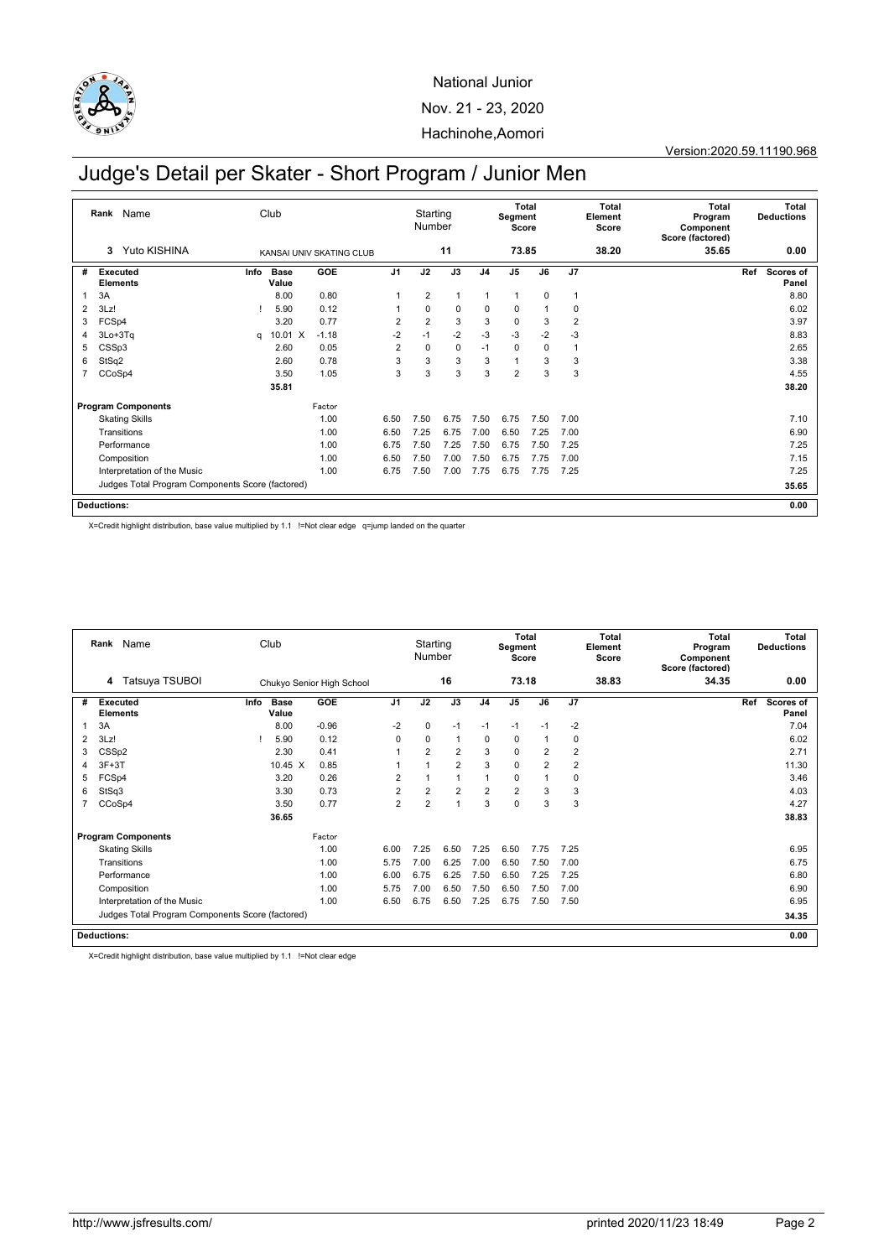

# Judge's Detail per Skater - Short Program / Junior Men

|   | Name<br>Club<br>Rank<br>Yuto KISHINA<br>3<br>KANSAI UNIV SKATING CLUB |      |                      |         |                | Starting<br>Number |                |                | Total<br>Segment<br>Score |             |                | Total<br>Element<br>Score | <b>Total</b><br>Program<br>Component<br>Score (factored) |     | Total<br><b>Deductions</b> |
|---|-----------------------------------------------------------------------|------|----------------------|---------|----------------|--------------------|----------------|----------------|---------------------------|-------------|----------------|---------------------------|----------------------------------------------------------|-----|----------------------------|
|   |                                                                       |      |                      |         |                |                    | 11             |                | 73.85                     |             |                | 38.20                     | 35.65                                                    |     | 0.00                       |
| # | Executed<br><b>Elements</b>                                           | Info | <b>Base</b><br>Value | GOE     | J <sub>1</sub> | J2                 | J3             | J <sub>4</sub> | J <sub>5</sub>            | J6          | J7             |                           |                                                          | Ref | Scores of<br>Panel         |
| 1 | 3A                                                                    |      | 8.00                 | 0.80    | -1             | $\overline{2}$     | $\overline{1}$ | 1              | $\mathbf{1}$              | $\mathbf 0$ | 1              |                           |                                                          |     | 8.80                       |
| 2 | 3Lz!                                                                  |      | 5.90                 | 0.12    | 1              | $\Omega$           | $\mathbf 0$    | 0              | $\mathbf 0$               |             | 0              |                           |                                                          |     | 6.02                       |
| 3 | FCSp4                                                                 |      | 3.20                 | 0.77    | $\overline{2}$ | $\overline{2}$     | 3              | 3              | 0                         | 3           | $\overline{2}$ |                           |                                                          |     | 3.97                       |
| 4 | 3Lo+3Tq                                                               | a    | 10.01 $X$            | $-1.18$ | $-2$           | $-1$               | $-2$           | $-3$           | -3                        | $-2$        | $-3$           |                           |                                                          |     | 8.83                       |
| 5 | CSSp3                                                                 |      | 2.60                 | 0.05    | $\overline{2}$ | $\mathbf 0$        | $\mathbf 0$    | $-1$           | $\mathbf 0$               | $\mathbf 0$ | 1              |                           |                                                          |     | 2.65                       |
| 6 | StSq2                                                                 |      | 2.60                 | 0.78    | 3              | 3                  | 3              | 3              | $\mathbf{1}$              | 3           | 3              |                           |                                                          |     | 3.38                       |
|   | CCoSp4                                                                |      | 3.50                 | 1.05    | 3              | 3                  | 3              | 3              | $\overline{2}$            | 3           | 3              |                           |                                                          |     | 4.55                       |
|   |                                                                       |      | 35.81                |         |                |                    |                |                |                           |             |                |                           |                                                          |     | 38.20                      |
|   | <b>Program Components</b>                                             |      |                      | Factor  |                |                    |                |                |                           |             |                |                           |                                                          |     |                            |
|   | <b>Skating Skills</b>                                                 |      |                      | 1.00    | 6.50           | 7.50               | 6.75           | 7.50           | 6.75                      | 7.50        | 7.00           |                           |                                                          |     | 7.10                       |
|   | Transitions                                                           |      |                      | 1.00    | 6.50           | 7.25               | 6.75           | 7.00           | 6.50                      | 7.25        | 7.00           |                           |                                                          |     | 6.90                       |
|   | Performance                                                           |      |                      | 1.00    | 6.75           | 7.50               | 7.25           | 7.50           | 6.75                      | 7.50        | 7.25           |                           |                                                          |     | 7.25                       |
|   | Composition                                                           | 1.00 | 6.50                 | 7.50    | 7.00           | 7.50               | 6.75           | 7.75           | 7.00                      |             |                |                           | 7.15                                                     |     |                            |
|   | Interpretation of the Music                                           | 1.00 | 6.75                 | 7.50    | 7.00           | 7.75               | 6.75           | 7.75           | 7.25                      |             |                |                           | 7.25                                                     |     |                            |
|   | Judges Total Program Components Score (factored)                      |      |                      |         |                |                    |                |                |                           |             |                |                           | 35.65                                                    |     |                            |
|   | <b>Deductions:</b>                                                    |      |                      |         |                |                    |                |                |                           |             |                |                           |                                                          |     | 0.00                       |

X=Credit highlight distribution, base value multiplied by 1.1 !=Not clear edge q=jump landed on the quarter

|   | Club<br>Rank Name<br>Tatsuya TSUBOI<br>4<br>Chukyo Senior High School |      |                      |         |                | Starting<br>Number |                |                | Total<br>Segment<br>Score |                |                | Total<br>Element<br>Score | <b>Total</b><br>Program<br>Component<br>Score (factored) | <b>Total</b><br><b>Deductions</b> |
|---|-----------------------------------------------------------------------|------|----------------------|---------|----------------|--------------------|----------------|----------------|---------------------------|----------------|----------------|---------------------------|----------------------------------------------------------|-----------------------------------|
|   |                                                                       |      |                      |         |                |                    | 16             |                | 73.18                     |                |                | 38.83                     | 34.35                                                    | 0.00                              |
| # | Executed<br><b>Elements</b>                                           | Info | <b>Base</b><br>Value | GOE     | J <sub>1</sub> | J2                 | J3             | J <sub>4</sub> | J <sub>5</sub>            | J6             | J7             |                           |                                                          | Ref<br>Scores of<br>Panel         |
|   | 3A                                                                    |      | 8.00                 | $-0.96$ | $-2$           | $\mathbf 0$        | $-1$           | $-1$           | $-1$                      | $-1$           | $-2$           |                           |                                                          | 7.04                              |
| 2 | 3Lz!                                                                  |      | 5.90                 | 0.12    | $\mathbf 0$    | $\mathbf 0$        | 1              | $\Omega$       | $\mathbf 0$               | 1              | $\mathbf 0$    |                           |                                                          | 6.02                              |
| 3 | CSS <sub>p2</sub>                                                     |      | 2.30                 | 0.41    |                | $\overline{2}$     | $\overline{2}$ | 3              | $\mathbf 0$               | $\overline{2}$ | $\overline{2}$ |                           |                                                          | 2.71                              |
| 4 | $3F+3T$                                                               |      | 10.45 X              | 0.85    |                |                    | $\overline{2}$ | 3              | $\mathbf 0$               | $\overline{2}$ | $\overline{2}$ |                           |                                                          | 11.30                             |
| 5 | FCSp4                                                                 |      | 3.20                 | 0.26    | $\overline{2}$ |                    | 1              |                | $\mathbf 0$               | 1              | $\mathbf 0$    |                           |                                                          | 3.46                              |
| 6 | StSq3                                                                 |      | 3.30                 | 0.73    | $\overline{2}$ | $\overline{2}$     | $\overline{2}$ | $\overline{2}$ | $\overline{2}$            | 3              | 3              |                           |                                                          | 4.03                              |
|   | CCoSp4                                                                |      | 3.50                 | 0.77    | $\overline{2}$ | $\overline{2}$     | $\overline{1}$ | 3              | $\mathbf 0$               | 3              | 3              |                           |                                                          | 4.27                              |
|   |                                                                       |      | 36.65                |         |                |                    |                |                |                           |                |                |                           |                                                          | 38.83                             |
|   | <b>Program Components</b>                                             |      |                      | Factor  |                |                    |                |                |                           |                |                |                           |                                                          |                                   |
|   | <b>Skating Skills</b>                                                 |      |                      | 1.00    | 6.00           | 7.25               | 6.50           | 7.25           | 6.50                      | 7.75           | 7.25           |                           |                                                          | 6.95                              |
|   | Transitions                                                           |      |                      | 1.00    | 5.75           | 7.00               | 6.25           | 7.00           | 6.50                      | 7.50           | 7.00           |                           |                                                          | 6.75                              |
|   | Performance                                                           |      |                      | 1.00    | 6.00           | 6.75               | 6.25           | 7.50           | 6.50                      | 7.25           | 7.25           |                           |                                                          | 6.80                              |
|   | Composition                                                           |      |                      | 1.00    | 5.75           | 7.00               | 6.50           | 7.50           | 6.50                      | 7.50           | 7.00           |                           |                                                          | 6.90                              |
|   | Interpretation of the Music                                           |      |                      | 1.00    | 6.50           | 6.75               | 6.50           | 7.25           | 6.75                      | 7.50           | 7.50           |                           |                                                          | 6.95                              |
|   | Judges Total Program Components Score (factored)                      |      |                      |         |                |                    |                |                |                           |                |                |                           |                                                          | 34.35                             |
|   | <b>Deductions:</b>                                                    |      |                      |         |                |                    |                |                |                           |                |                |                           |                                                          | 0.00                              |

X=Credit highlight distribution, base value multiplied by 1.1 !=Not clear edge

Version:2020.59.11190.968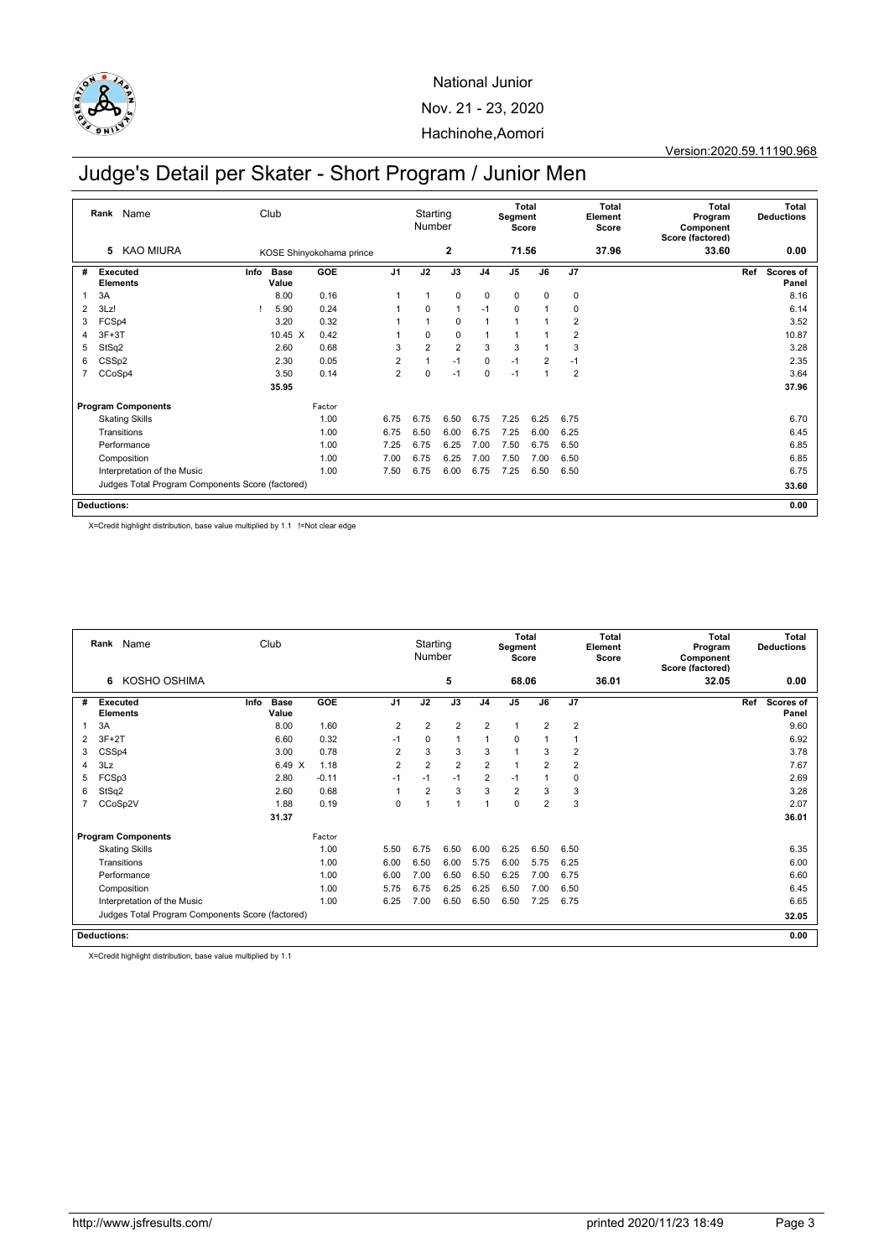

Version:2020.59.11190.968

# Judge's Detail per Skater - Short Program / Junior Men

|   | Name<br>Club<br>Rank<br><b>KAO MIURA</b><br>5<br>KOSE Shinyokohama prince |      |               |            |                | Starting<br>Number |              |                | Segment<br>Score | Total          |                | Total<br>Element<br>Score | <b>Total</b><br>Program<br>Component<br>Score (factored) |     | <b>Total</b><br><b>Deductions</b> |
|---|---------------------------------------------------------------------------|------|---------------|------------|----------------|--------------------|--------------|----------------|------------------|----------------|----------------|---------------------------|----------------------------------------------------------|-----|-----------------------------------|
|   |                                                                           |      |               |            |                |                    | $\mathbf{2}$ |                | 71.56            |                |                | 37.96                     | 33.60                                                    |     | 0.00                              |
| # | Executed<br><b>Elements</b>                                               | Info | Base<br>Value | <b>GOE</b> | J <sub>1</sub> | J2                 | J3           | J <sub>4</sub> | J <sub>5</sub>   | J6             | J7             |                           |                                                          | Ref | Scores of<br>Panel                |
| 1 | 3A                                                                        |      | 8.00          | 0.16       | -1             | 1                  | $\mathbf 0$  | $\mathbf 0$    | $\mathbf 0$      | $\mathbf 0$    | 0              |                           |                                                          |     | 8.16                              |
| 2 | 3Lz!                                                                      |      | 5.90          | 0.24       | 1              | $\Omega$           | $\mathbf{1}$ | $-1$           | $\mathbf 0$      |                | $\mathbf 0$    |                           |                                                          |     | 6.14                              |
| 3 | FCSp4                                                                     |      | 3.20          | 0.32       |                |                    | $\mathbf 0$  | 1              | 1                |                | $\overline{2}$ |                           |                                                          |     | 3.52                              |
| 4 | $3F+3T$                                                                   |      | 10.45 X       | 0.42       |                | 0                  | $\mathbf 0$  | 1              | 1                |                | $\overline{2}$ |                           |                                                          |     | 10.87                             |
| 5 | StSq2                                                                     |      | 2.60          | 0.68       | 3              | $\overline{2}$     | 2            | 3              | 3                |                | 3              |                           |                                                          |     | 3.28                              |
| 6 | CSSp2                                                                     |      | 2.30          | 0.05       | $\overline{2}$ | 1                  | $-1$         | $\mathbf 0$    | $-1$             | $\overline{2}$ | $-1$           |                           |                                                          |     | 2.35                              |
| 7 | CCoSp4                                                                    |      | 3.50          | 0.14       | $\overline{2}$ | $\Omega$           | $-1$         | 0              | $-1$             | 1              | 2              |                           |                                                          |     | 3.64                              |
|   |                                                                           |      | 35.95         |            |                |                    |              |                |                  |                |                |                           |                                                          |     | 37.96                             |
|   | <b>Program Components</b>                                                 |      |               | Factor     |                |                    |              |                |                  |                |                |                           |                                                          |     |                                   |
|   | <b>Skating Skills</b>                                                     |      |               | 1.00       | 6.75           | 6.75               | 6.50         | 6.75           | 7.25             | 6.25           | 6.75           |                           |                                                          |     | 6.70                              |
|   | Transitions                                                               |      |               | 1.00       | 6.75           | 6.50               | 6.00         | 6.75           | 7.25             | 6.00           | 6.25           |                           |                                                          |     | 6.45                              |
|   | Performance                                                               |      |               | 1.00       | 7.25           | 6.75               | 6.25         | 7.00           | 7.50             | 6.75           | 6.50           |                           |                                                          |     | 6.85                              |
|   | Composition                                                               |      |               | 1.00       | 7.00           | 6.75               | 6.25         | 7.00           | 7.50             | 7.00           | 6.50           |                           |                                                          |     | 6.85                              |
|   | Interpretation of the Music                                               | 1.00 | 7.50          | 6.75       | 6.00           | 6.75               | 7.25         | 6.50           | 6.50             |                |                |                           | 6.75                                                     |     |                                   |
|   | Judges Total Program Components Score (factored)                          |      |               |            |                |                    |              |                |                  |                |                |                           | 33.60                                                    |     |                                   |
|   | <b>Deductions:</b>                                                        |      |               |            |                |                    |              |                |                  |                |                |                           |                                                          |     | 0.00                              |

X=Credit highlight distribution, base value multiplied by 1.1 !=Not clear edge

|                | Name<br>Rank                                     | Club                  |         |                | Starting<br>Number |                |                | Segment<br>Score | Total          |                | Total<br>Element<br>Score | <b>Total</b><br>Program<br>Component<br>Score (factored) |     | Total<br><b>Deductions</b> |
|----------------|--------------------------------------------------|-----------------------|---------|----------------|--------------------|----------------|----------------|------------------|----------------|----------------|---------------------------|----------------------------------------------------------|-----|----------------------------|
|                | KOSHO OSHIMA<br>6                                |                       |         |                |                    | 5              |                | 68.06            |                |                | 36.01                     | 32.05                                                    |     | 0.00                       |
| #              | <b>Executed</b><br><b>Elements</b>               | Base<br>Info<br>Value | GOE     | J <sub>1</sub> | J2                 | J3             | J <sub>4</sub> | J <sub>5</sub>   | J6             | J <sub>7</sub> |                           |                                                          | Ref | Scores of<br>Panel         |
|                | 3A                                               | 8.00                  | 1.60    | $\overline{2}$ | $\overline{2}$     | $\overline{2}$ | $\overline{2}$ | 1                | $\overline{2}$ | $\overline{2}$ |                           |                                                          |     | 9.60                       |
| 2              | $3F+2T$                                          | 6.60                  | 0.32    | $-1$           | $\mathbf 0$        | $\overline{1}$ | 1              | $\mathbf 0$      |                | $\mathbf{1}$   |                           |                                                          |     | 6.92                       |
| 3              | CSS <sub>p4</sub>                                | 3.00                  | 0.78    | $\overline{2}$ | 3                  | 3              | 3              | 1                | 3              | $\overline{2}$ |                           |                                                          |     | 3.78                       |
| 4              | 3Lz                                              | 6.49 X                | 1.18    | $\overline{2}$ | $\overline{2}$     | $\overline{2}$ | $\overline{2}$ | $\mathbf{1}$     | $\overline{2}$ | $\overline{2}$ |                           |                                                          |     | 7.67                       |
| 5              | FCSp3                                            | 2.80                  | $-0.11$ | $-1$           | $-1$               | $-1$           | $\overline{2}$ | $-1$             |                | 0              |                           |                                                          |     | 2.69                       |
| 6              | StSq2                                            | 2.60                  | 0.68    |                | $\overline{2}$     | 3              | 3              | $\overline{2}$   | 3              | 3              |                           |                                                          |     | 3.28                       |
| $\overline{7}$ | CCoSp2V                                          | 1.88                  | 0.19    | $\mathbf 0$    | $\mathbf{1}$       | $\overline{1}$ | $\overline{ }$ | $\mathbf 0$      | $\overline{2}$ | 3              |                           |                                                          |     | 2.07                       |
|                |                                                  | 31.37                 |         |                |                    |                |                |                  |                |                |                           |                                                          |     | 36.01                      |
|                | <b>Program Components</b>                        |                       | Factor  |                |                    |                |                |                  |                |                |                           |                                                          |     |                            |
|                | <b>Skating Skills</b>                            |                       | 1.00    | 5.50           | 6.75               | 6.50           | 6.00           | 6.25             | 6.50           | 6.50           |                           |                                                          |     | 6.35                       |
|                | Transitions                                      |                       | 1.00    | 6.00           | 6.50               | 6.00           | 5.75           | 6.00             | 5.75           | 6.25           |                           |                                                          |     | 6.00                       |
|                | Performance                                      |                       | 1.00    | 6.00           | 7.00               | 6.50           | 6.50           | 6.25             | 7.00           | 6.75           |                           |                                                          |     | 6.60                       |
|                | Composition                                      |                       | 1.00    | 5.75           | 6.75               | 6.25           | 6.25           | 6.50             | 7.00           | 6.50           |                           |                                                          |     | 6.45                       |
|                | Interpretation of the Music                      |                       | 1.00    | 6.25           | 7.00               | 6.50           | 6.50           | 6.50             | 7.25           | 6.75           |                           |                                                          |     | 6.65                       |
|                | Judges Total Program Components Score (factored) |                       |         |                |                    |                |                |                  |                |                |                           |                                                          |     | 32.05                      |
|                | <b>Deductions:</b>                               |                       |         |                |                    |                |                |                  |                |                |                           |                                                          |     | 0.00                       |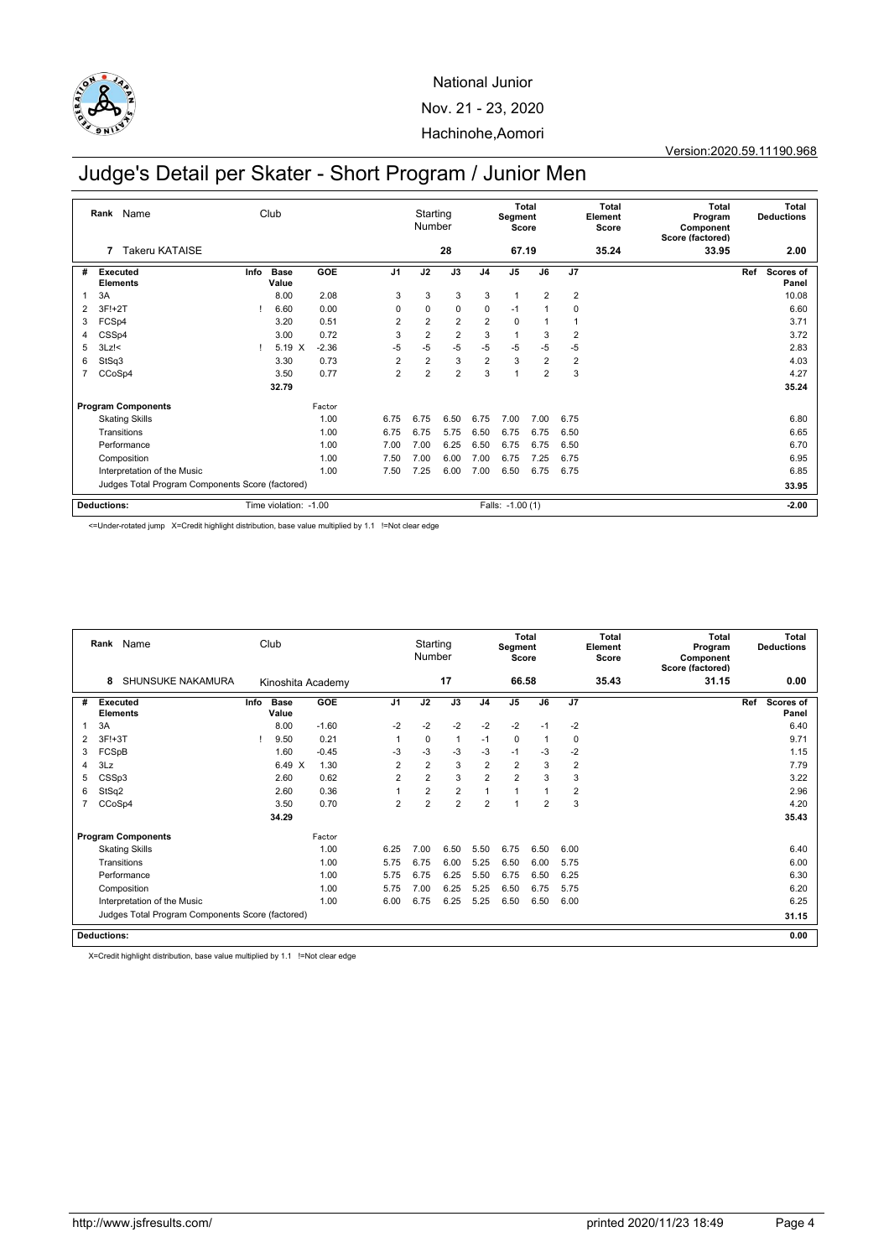

Version:2020.59.11190.968

# Judge's Detail per Skater - Short Program / Junior Men

|                | Rank Name                                        |      | Club                  |            |                | Starting<br>Number |                |                | Total<br>Segment<br>Score |                |                | Total<br>Element<br>Score | Total<br>Program<br>Component<br>Score (factored) |     | Total<br><b>Deductions</b> |
|----------------|--------------------------------------------------|------|-----------------------|------------|----------------|--------------------|----------------|----------------|---------------------------|----------------|----------------|---------------------------|---------------------------------------------------|-----|----------------------------|
|                | <b>Takeru KATAISE</b><br>7                       |      |                       |            |                |                    | 28             |                | 67.19                     |                |                | 35.24                     | 33.95                                             |     | 2.00                       |
| #              | Executed<br><b>Elements</b>                      | Info | <b>Base</b><br>Value  | <b>GOE</b> | J <sub>1</sub> | J2                 | J3             | J <sub>4</sub> | J <sub>5</sub>            | J6             | J7             |                           |                                                   | Ref | <b>Scores of</b><br>Panel  |
| 1              | 3A                                               |      | 8.00                  | 2.08       | 3              | 3                  | 3              | 3              |                           | $\overline{2}$ | 2              |                           |                                                   |     | 10.08                      |
| $\overline{2}$ | 3F!+2T                                           |      | 6.60                  | 0.00       | 0              | $\mathbf 0$        | $\mathbf 0$    | $\mathbf 0$    | $-1$                      |                | $\mathbf 0$    |                           |                                                   |     | 6.60                       |
| 3              | FCSp4                                            |      | 3.20                  | 0.51       | 2              | $\overline{2}$     | $\overline{2}$ | $\overline{2}$ | $\mathbf 0$               |                |                |                           |                                                   |     | 3.71                       |
| 4              | CSSp4                                            |      | 3.00                  | 0.72       | 3              | $\overline{2}$     | $\overline{2}$ | 3              |                           | 3              | $\overline{2}$ |                           |                                                   |     | 3.72                       |
| 5              | $3Lz$ !<                                         |      | $5.19 \text{ X}$      | $-2.36$    | -5             | $-5$               | $-5$           | $-5$           | $-5$                      | $-5$           | $-5$           |                           |                                                   |     | 2.83                       |
| 6              | StSq3                                            |      | 3.30                  | 0.73       | $\overline{2}$ | $\overline{2}$     | 3              | $\overline{2}$ | 3                         | $\overline{2}$ | $\overline{2}$ |                           |                                                   |     | 4.03                       |
| 7              | CCoSp4                                           |      | 3.50                  | 0.77       | $\overline{2}$ | 2                  | $\overline{2}$ | 3              |                           | $\overline{2}$ | 3              |                           |                                                   |     | 4.27                       |
|                |                                                  |      | 32.79                 |            |                |                    |                |                |                           |                |                |                           |                                                   |     | 35.24                      |
|                | <b>Program Components</b>                        |      |                       | Factor     |                |                    |                |                |                           |                |                |                           |                                                   |     |                            |
|                | <b>Skating Skills</b>                            |      |                       | 1.00       | 6.75           | 6.75               | 6.50           | 6.75           | 7.00                      | 7.00           | 6.75           |                           |                                                   |     | 6.80                       |
|                | Transitions                                      |      |                       | 1.00       | 6.75           | 6.75               | 5.75           | 6.50           | 6.75                      | 6.75           | 6.50           |                           |                                                   |     | 6.65                       |
|                | Performance                                      |      |                       | 1.00       | 7.00           | 7.00               | 6.25           | 6.50           | 6.75                      | 6.75           | 6.50           |                           |                                                   |     | 6.70                       |
|                | Composition                                      |      |                       | 1.00       | 7.50           | 7.00               | 6.00           | 7.00           | 6.75                      | 7.25           | 6.75           |                           |                                                   |     | 6.95                       |
|                | Interpretation of the Music                      |      |                       | 1.00       | 7.50           | 7.25               | 6.00           | 7.00           | 6.50                      | 6.75           | 6.75           |                           |                                                   |     | 6.85                       |
|                | Judges Total Program Components Score (factored) |      |                       |            |                |                    |                |                |                           |                |                |                           |                                                   |     | 33.95                      |
|                | <b>Deductions:</b>                               |      | Time violation: -1.00 |            |                |                    |                |                | Falls: -1.00 (1)          |                |                |                           |                                                   |     | $-2.00$                    |

<=Under-rotated jump X=Credit highlight distribution, base value multiplied by 1.1 !=Not clear edge

|   |                    | Club<br>Rank Name<br>SHUNSUKE NAKAMURA<br>Kinoshita Academy |      |                      |         | Starting<br>Number |                |                | Total<br>Segment<br>Score |                |                | Total<br>Element<br>Score | <b>Total</b><br>Program<br>Component<br>Score (factored) |       | <b>Total</b><br><b>Deductions</b> |                    |
|---|--------------------|-------------------------------------------------------------|------|----------------------|---------|--------------------|----------------|----------------|---------------------------|----------------|----------------|---------------------------|----------------------------------------------------------|-------|-----------------------------------|--------------------|
|   | 8                  |                                                             |      |                      |         |                    |                | 17             |                           | 66.58          |                |                           | 35.43                                                    | 31.15 |                                   | 0.00               |
| # |                    | Executed<br><b>Elements</b>                                 | Info | <b>Base</b><br>Value | GOE     | J <sub>1</sub>     | J2             | J3             | J <sub>4</sub>            | J <sub>5</sub> | J6             | J7                        |                                                          |       | Ref                               | Scores of<br>Panel |
|   | 3A                 |                                                             |      | 8.00                 | $-1.60$ | $-2$               | $-2$           | $-2$           | $-2$                      | $-2$           | $-1$           | $-2$                      |                                                          |       |                                   | 6.40               |
| 2 | 3F!+3T             |                                                             |      | 9.50                 | 0.21    |                    | $\mathbf 0$    | 1              | $-1$                      | $\mathbf 0$    | 1              | $\mathbf 0$               |                                                          |       |                                   | 9.71               |
| 3 | FCSpB              |                                                             |      | 1.60                 | $-0.45$ | $-3$               | $-3$           | $-3$           | $-3$                      | $-1$           | $-3$           | $-2$                      |                                                          |       |                                   | 1.15               |
| 4 | 3Lz                |                                                             |      | 6.49 X               | 1.30    | $\overline{2}$     | $\overline{2}$ | 3              | $\overline{2}$            | $\overline{2}$ | 3              | $\overline{2}$            |                                                          |       |                                   | 7.79               |
| 5 | CSSp3              |                                                             |      | 2.60                 | 0.62    | $\overline{2}$     | $\overline{2}$ | 3              | $\overline{2}$            | $\overline{2}$ | 3              | 3                         |                                                          |       |                                   | 3.22               |
| 6 | StSq2              |                                                             |      | 2.60                 | 0.36    |                    | $\overline{2}$ | $\overline{2}$ | 1                         | $\mathbf{1}$   | 1              | $\overline{2}$            |                                                          |       |                                   | 2.96               |
|   | CCoSp4             |                                                             |      | 3.50                 | 0.70    | $\overline{2}$     | $\overline{2}$ | $\overline{2}$ | $\overline{2}$            | $\overline{1}$ | $\overline{2}$ | 3                         |                                                          |       |                                   | 4.20               |
|   |                    |                                                             |      | 34.29                |         |                    |                |                |                           |                |                |                           |                                                          |       |                                   | 35.43              |
|   |                    | <b>Program Components</b>                                   |      |                      | Factor  |                    |                |                |                           |                |                |                           |                                                          |       |                                   |                    |
|   |                    | <b>Skating Skills</b>                                       |      |                      | 1.00    | 6.25               | 7.00           | 6.50           | 5.50                      | 6.75           | 6.50           | 6.00                      |                                                          |       |                                   | 6.40               |
|   |                    | Transitions                                                 |      |                      | 1.00    | 5.75               | 6.75           | 6.00           | 5.25                      | 6.50           | 6.00           | 5.75                      |                                                          |       |                                   | 6.00               |
|   |                    | Performance                                                 |      |                      | 1.00    | 5.75               | 6.75           | 6.25           | 5.50                      | 6.75           | 6.50           | 6.25                      |                                                          |       |                                   | 6.30               |
|   |                    | Composition                                                 |      |                      | 1.00    | 5.75               | 7.00           | 6.25           | 5.25                      | 6.50           | 6.75           | 5.75                      |                                                          |       |                                   | 6.20               |
|   |                    | Interpretation of the Music                                 |      |                      | 1.00    | 6.00               | 6.75           | 6.25           | 5.25                      | 6.50           | 6.50           | 6.00                      |                                                          |       |                                   | 6.25               |
|   |                    | Judges Total Program Components Score (factored)            |      |                      |         |                    |                |                |                           |                |                |                           |                                                          |       |                                   | 31.15              |
|   | <b>Deductions:</b> |                                                             |      |                      |         |                    |                |                |                           |                |                |                           |                                                          |       |                                   | 0.00               |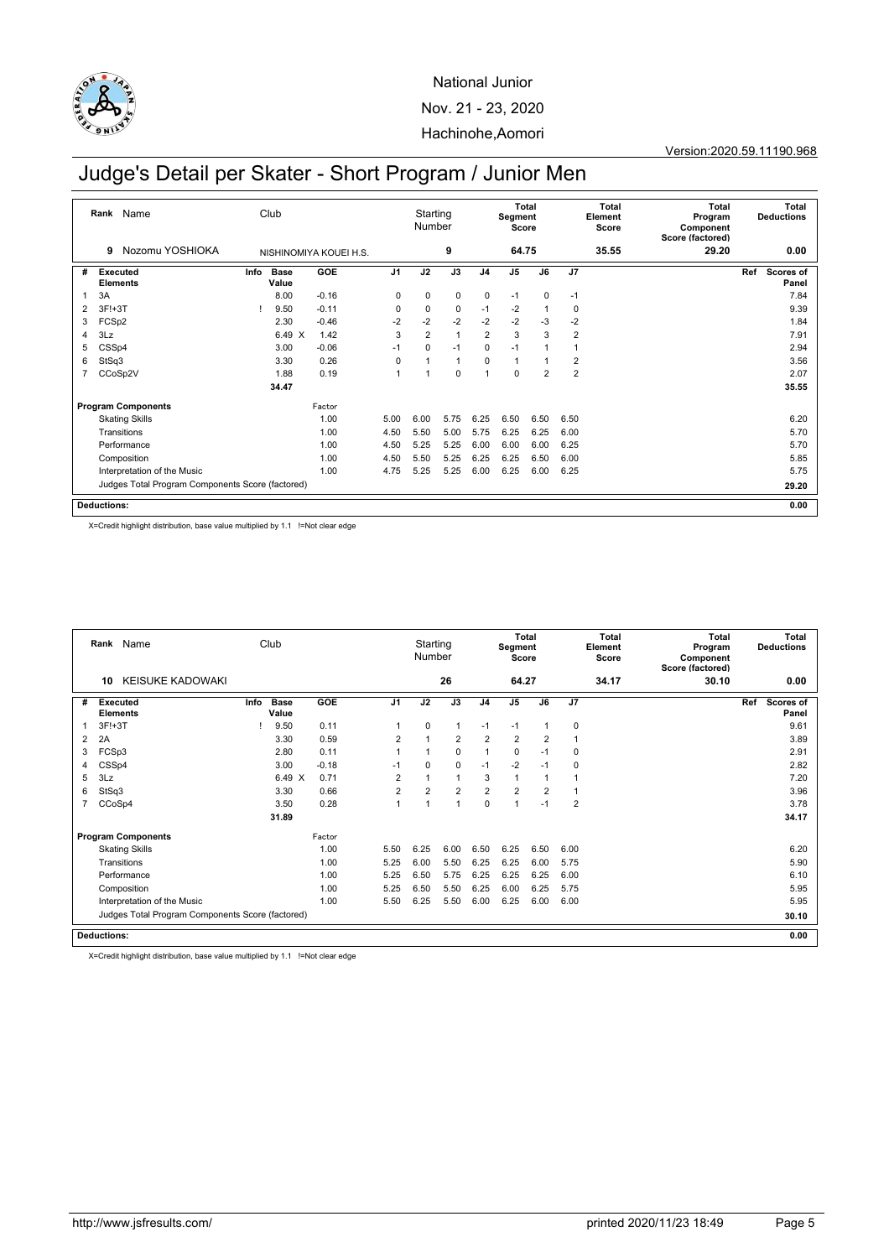

#### Version:2020.59.11190.968 Judge's Detail per Skater - Short Program / Junior Men

|   | Rank<br>Name                                     |      | Club                 |                        |                | Starting<br>Number |              |                | <b>Total</b><br>Segment<br>Score |                |                | Total<br>Element<br>Score | <b>Total</b><br>Program<br>Component<br>Score (factored) |     | Total<br><b>Deductions</b> |
|---|--------------------------------------------------|------|----------------------|------------------------|----------------|--------------------|--------------|----------------|----------------------------------|----------------|----------------|---------------------------|----------------------------------------------------------|-----|----------------------------|
|   | Nozomu YOSHIOKA<br>9                             |      |                      | NISHINOMIYA KOUEI H.S. |                |                    | 9            |                | 64.75                            |                |                | 35.55                     | 29.20                                                    |     | 0.00                       |
| # | <b>Executed</b><br><b>Elements</b>               | Info | <b>Base</b><br>Value | <b>GOE</b>             | J <sub>1</sub> | J2                 | J3           | J <sub>4</sub> | J5                               | J6             | J7             |                           |                                                          | Ref | Scores of<br>Panel         |
| 1 | 3A                                               |      | 8.00                 | $-0.16$                | $\mathbf 0$    | $\mathbf 0$        | $\mathbf 0$  | $\mathbf 0$    | $-1$                             | $\mathbf 0$    | $-1$           |                           |                                                          |     | 7.84                       |
| 2 | 3F!+3T                                           |      | 9.50                 | $-0.11$                | $\Omega$       | $\Omega$           | $\mathbf 0$  | $-1$           | $-2$                             | 1              | $\mathbf 0$    |                           |                                                          |     | 9.39                       |
| 3 | FCSp2                                            |      | 2.30                 | $-0.46$                | $-2$           | $-2$               | $-2$         | $-2$           | $-2$                             | $-3$           | $-2$           |                           |                                                          |     | 1.84                       |
| 4 | 3Lz                                              |      | 6.49 X               | 1.42                   | 3              | $\overline{2}$     | $\mathbf{1}$ | 2              | 3                                | 3              | $\overline{2}$ |                           |                                                          |     | 7.91                       |
| 5 | CSSp4                                            |      | 3.00                 | $-0.06$                | $-1$           | $\Omega$           | $-1$         | $\Omega$       | $-1$                             | 1              | 1              |                           |                                                          |     | 2.94                       |
| 6 | StSq3                                            |      | 3.30                 | 0.26                   | $\Omega$       | 1                  | $\mathbf{1}$ | 0              | 1                                | 1              | $\overline{2}$ |                           |                                                          |     | 3.56                       |
|   | CCoSp2V                                          |      | 1.88                 | 0.19                   | $\overline{1}$ | 1                  | $\Omega$     | 1              | $\Omega$                         | $\overline{2}$ | $\overline{2}$ |                           |                                                          |     | 2.07                       |
|   |                                                  |      | 34.47                |                        |                |                    |              |                |                                  |                |                |                           |                                                          |     | 35.55                      |
|   | <b>Program Components</b>                        |      |                      | Factor                 |                |                    |              |                |                                  |                |                |                           |                                                          |     |                            |
|   | <b>Skating Skills</b>                            |      |                      | 1.00                   | 5.00           | 6.00               | 5.75         | 6.25           | 6.50                             | 6.50           | 6.50           |                           |                                                          |     | 6.20                       |
|   | Transitions                                      |      |                      | 1.00                   | 4.50           | 5.50               | 5.00         | 5.75           | 6.25                             | 6.25           | 6.00           |                           |                                                          |     | 5.70                       |
|   | Performance                                      |      |                      | 1.00                   | 4.50           | 5.25               | 5.25         | 6.00           | 6.00                             | 6.00           | 6.25           |                           |                                                          |     | 5.70                       |
|   | Composition                                      |      |                      | 1.00                   | 4.50           | 5.50               | 5.25         | 6.25           | 6.25                             | 6.50           | 6.00           |                           |                                                          |     | 5.85                       |
|   | Interpretation of the Music                      |      |                      | 1.00                   | 4.75           | 5.25               | 5.25         | 6.00           | 6.25                             | 6.00           | 6.25           |                           |                                                          |     | 5.75                       |
|   | Judges Total Program Components Score (factored) |      |                      |                        |                |                    |              |                |                                  |                |                |                           |                                                          |     | 29.20                      |
|   | <b>Deductions:</b>                               |      |                      |                        |                |                    |              |                |                                  |                |                |                           |                                                          |     | 0.00                       |

X=Credit highlight distribution, base value multiplied by 1.1 !=Not clear edge

|                | Rank<br>Name                                     |      | Club                 |            |                | Starting<br>Number |                |                | <b>Total</b><br>Segment<br>Score |                |                | Total<br>Element<br>Score | <b>Total</b><br>Program<br>Component<br>Score (factored) |      | Total<br><b>Deductions</b> |
|----------------|--------------------------------------------------|------|----------------------|------------|----------------|--------------------|----------------|----------------|----------------------------------|----------------|----------------|---------------------------|----------------------------------------------------------|------|----------------------------|
|                | <b>KEISUKE KADOWAKI</b><br>10                    |      |                      |            |                |                    | 26             |                | 64.27                            |                |                | 34.17                     | 30.10                                                    |      | 0.00                       |
| #              | Executed<br><b>Elements</b>                      | Info | <b>Base</b><br>Value | <b>GOE</b> | J <sub>1</sub> | J2                 | J3             | J <sub>4</sub> | J5                               | J6             | J <sub>7</sub> |                           |                                                          | Ref  | Scores of<br>Panel         |
|                | $3F!+3T$                                         |      | 9.50                 | 0.11       | 1              | $\mathbf 0$        | $\overline{1}$ | $-1$           | $-1$                             | -1             | 0              |                           |                                                          |      | 9.61                       |
| $\overline{2}$ | 2A                                               |      | 3.30                 | 0.59       | $\overline{2}$ |                    | 2              | $\overline{2}$ | $\overline{2}$                   | $\overline{2}$ | 1              |                           |                                                          |      | 3.89                       |
| 3              | FCSp3                                            |      | 2.80                 | 0.11       |                |                    | $\mathbf 0$    | $\mathbf{1}$   | $\mathbf 0$                      | $-1$           | $\mathbf 0$    |                           |                                                          |      | 2.91                       |
| 4              | CSSp4                                            |      | 3.00                 | $-0.18$    | $-1$           | $\Omega$           | $\mathbf 0$    | $-1$           | $-2$                             | $-1$           | $\mathbf 0$    |                           |                                                          |      | 2.82                       |
| 5              | 3Lz                                              |      | 6.49<br>X            | 0.71       | $\overline{2}$ |                    | $\mathbf{1}$   | 3              | 1                                | $\mathbf{1}$   | 1              |                           |                                                          |      | 7.20                       |
| 6              | StSq3                                            |      | 3.30                 | 0.66       | $\overline{2}$ | $\overline{2}$     | 2              | $\overline{2}$ | $\overline{2}$                   | $\overline{2}$ | 1              |                           |                                                          |      | 3.96                       |
|                | CCoSp4                                           |      | 3.50                 | 0.28       | $\overline{1}$ | 1                  | 1              | $\mathbf 0$    | 1                                | $-1$           | $\overline{2}$ |                           |                                                          |      | 3.78                       |
|                |                                                  |      | 31.89                |            |                |                    |                |                |                                  |                |                |                           |                                                          |      | 34.17                      |
|                | <b>Program Components</b>                        |      |                      | Factor     |                |                    |                |                |                                  |                |                |                           |                                                          |      |                            |
|                | <b>Skating Skills</b>                            |      |                      | 1.00       | 5.50           | 6.25               | 6.00           | 6.50           | 6.25                             | 6.50           | 6.00           |                           |                                                          |      | 6.20                       |
|                | Transitions                                      |      |                      | 1.00       | 5.25           | 6.00               | 5.50           | 6.25           | 6.25                             | 6.00           | 5.75           |                           |                                                          |      | 5.90                       |
|                | Performance                                      |      |                      | 1.00       | 5.25           | 6.50               | 5.75           | 6.25           | 6.25                             | 6.25           | 6.00           |                           |                                                          |      | 6.10                       |
|                | Composition                                      |      |                      | 1.00       | 5.25           | 6.50               | 5.50           | 6.25           | 6.00                             | 6.25           | 5.75           |                           |                                                          |      | 5.95                       |
|                | Interpretation of the Music                      |      |                      | 1.00       | 5.50           | 6.25               | 5.50           | 6.00           | 6.25                             | 6.00           | 6.00           |                           |                                                          |      | 5.95                       |
|                | Judges Total Program Components Score (factored) |      |                      |            |                |                    |                |                |                                  |                |                |                           |                                                          |      | 30.10                      |
|                | <b>Deductions:</b>                               |      |                      |            |                |                    |                |                |                                  |                |                |                           |                                                          | 0.00 |                            |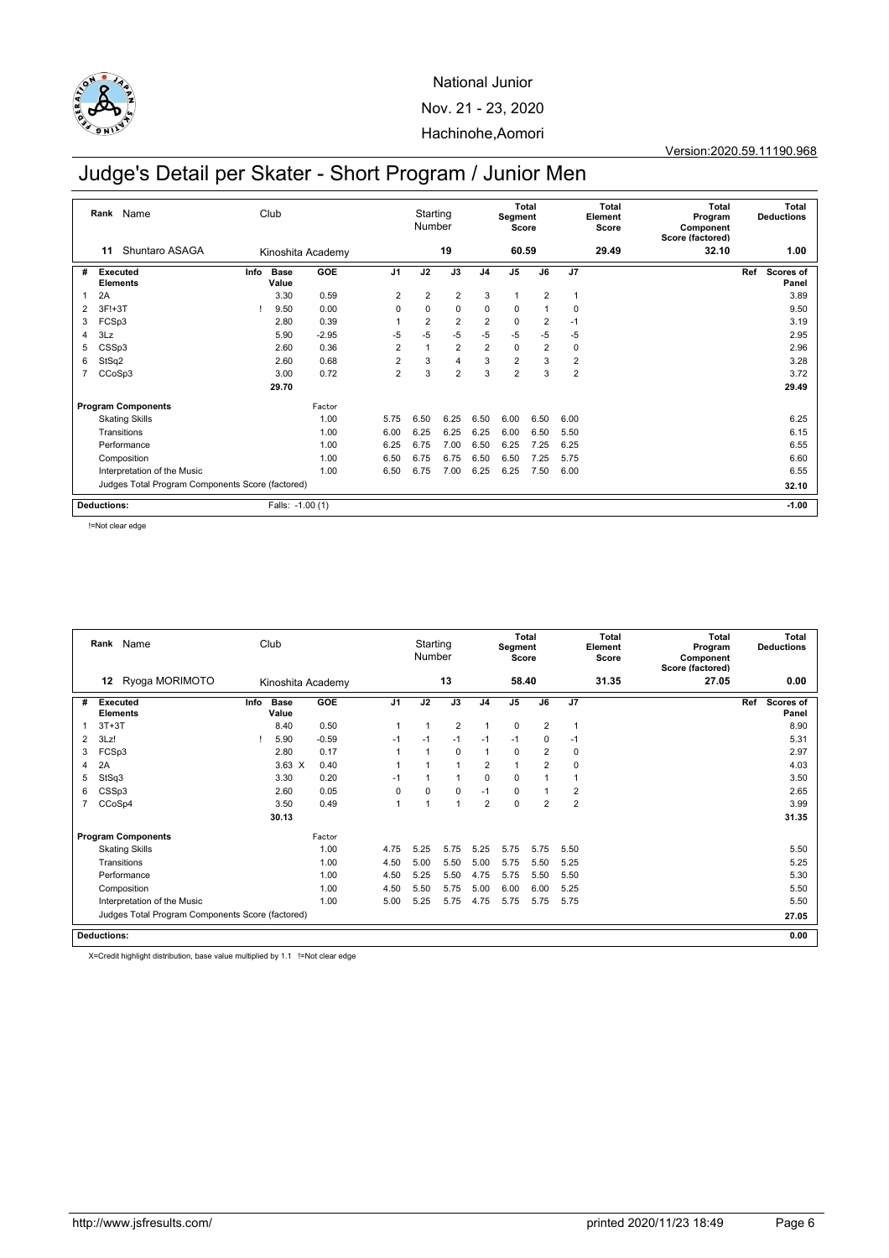

Version:2020.59.11190.968

# Judge's Detail per Skater - Short Program / Junior Men

|                | Rank Name<br>Shuntaro ASAGA<br>11                |               |                   |                | Starting<br>Number |                |                | <b>Total</b><br>Segment<br>Score |                |                | Total<br>Element<br>Score | <b>Total</b><br>Program<br>Component<br>Score (factored) | <b>Deductions</b> | <b>Total</b> |
|----------------|--------------------------------------------------|---------------|-------------------|----------------|--------------------|----------------|----------------|----------------------------------|----------------|----------------|---------------------------|----------------------------------------------------------|-------------------|--------------|
|                |                                                  |               | Kinoshita Academy |                |                    | 19             |                | 60.59                            |                |                | 29.49                     | 32.10                                                    |                   | 1.00         |
| #              | Info<br><b>Executed</b><br><b>Elements</b>       | Base<br>Value | <b>GOE</b>        | J <sub>1</sub> | J2                 | J3             | J <sub>4</sub> | J5                               | J6             | J <sub>7</sub> |                           |                                                          | Ref<br>Scores of  | Panel        |
| 1              | 2A                                               | 3.30          | 0.59              | $\overline{2}$ | $\overline{2}$     | $\overline{2}$ | 3              | 1                                | 2              |                |                           |                                                          |                   | 3.89         |
| $\overline{2}$ | $3F!+3T$                                         | 9.50          | 0.00              | $\Omega$       | 0                  | $\mathbf 0$    | 0              | $\mathbf 0$                      |                | $\mathbf 0$    |                           |                                                          |                   | 9.50         |
| 3              | FCSp3                                            | 2.80          | 0.39              | 1              | $\overline{2}$     | $\overline{2}$ | $\overline{2}$ | 0                                | $\overline{2}$ | $-1$           |                           |                                                          |                   | 3.19         |
| 4              | 3Lz                                              | 5.90          | $-2.95$           | -5             | $-5$               | $-5$           | $-5$           | $-5$                             | $-5$           | $-5$           |                           |                                                          |                   | 2.95         |
| 5              | CSSp3                                            | 2.60          | 0.36              | $\overline{2}$ | $\overline{1}$     | $\overline{2}$ | $\overline{2}$ | 0                                | 2              | $\mathbf 0$    |                           |                                                          |                   | 2.96         |
| 6              | StSq2                                            | 2.60          | 0.68              | $\overline{2}$ | 3                  | 4              | 3              | $\overline{2}$                   | 3              | $\overline{2}$ |                           |                                                          |                   | 3.28         |
|                | CCoSp3                                           | 3.00          | 0.72              | $\overline{2}$ | 3                  | $\overline{2}$ | 3              | $\overline{2}$                   | 3              | 2              |                           |                                                          |                   | 3.72         |
|                |                                                  | 29.70         |                   |                |                    |                |                |                                  |                |                |                           |                                                          |                   | 29.49        |
|                | <b>Program Components</b>                        |               | Factor            |                |                    |                |                |                                  |                |                |                           |                                                          |                   |              |
|                | <b>Skating Skills</b>                            |               | 1.00              | 5.75           | 6.50               | 6.25           | 6.50           | 6.00                             | 6.50           | 6.00           |                           |                                                          |                   | 6.25         |
|                | Transitions                                      |               | 1.00              | 6.00           | 6.25               | 6.25           | 6.25           | 6.00                             | 6.50           | 5.50           |                           |                                                          |                   | 6.15         |
|                | Performance                                      |               | 1.00              | 6.25           | 6.75               | 7.00           | 6.50           | 6.25                             | 7.25           | 6.25           |                           |                                                          |                   | 6.55         |
|                | Composition                                      |               | 1.00              | 6.50           | 6.75               | 6.75           | 6.50           | 6.50                             | 7.25           | 5.75           |                           |                                                          |                   | 6.60         |
|                | Interpretation of the Music                      |               | 1.00              | 6.50           | 6.75               | 7.00           | 6.25           | 6.25                             | 7.50           | 6.00           |                           |                                                          |                   | 6.55         |
|                | Judges Total Program Components Score (factored) |               |                   |                |                    |                |                |                                  |                |                |                           |                                                          |                   | 32.10        |
|                | <b>Deductions:</b>                               |               | Falls: -1.00 (1)  |                |                    |                |                |                                  |                |                |                           |                                                          |                   | $-1.00$      |

!=Not clear edge

|   | Club<br>Rank Name<br>Ryoga MORIMOTO<br>12<br>Kinoshita Academy |      |                      |         |                | Starting<br>Number |                |                | Segment<br>Score | <b>Total</b>   |                | <b>Total</b><br>Element<br>Score | Total<br>Program<br>Component<br>Score (factored) | <b>Total</b><br><b>Deductions</b> |
|---|----------------------------------------------------------------|------|----------------------|---------|----------------|--------------------|----------------|----------------|------------------|----------------|----------------|----------------------------------|---------------------------------------------------|-----------------------------------|
|   |                                                                |      |                      |         |                |                    | 13             |                | 58.40            |                |                | 31.35                            | 27.05                                             | 0.00                              |
| # | <b>Executed</b><br><b>Elements</b>                             | Info | <b>Base</b><br>Value | GOE     | J <sub>1</sub> | J2                 | J3             | J <sub>4</sub> | J <sub>5</sub>   | J6             | J7             |                                  |                                                   | Ref<br><b>Scores of</b><br>Panel  |
|   | $3T+3T$                                                        |      | 8.40                 | 0.50    | -1             | $\overline{1}$     | $\overline{2}$ | $\overline{1}$ | $\mathbf 0$      | $\overline{2}$ | $\overline{1}$ |                                  |                                                   | 8.90                              |
| 2 | 3Lz!                                                           |      | 5.90                 | $-0.59$ | $-1$           | $-1$               | $-1$           | $-1$           | $-1$             | $\Omega$       | $-1$           |                                  |                                                   | 5.31                              |
| 3 | FCSp3                                                          |      | 2.80                 | 0.17    |                |                    | $\mathbf 0$    | $\overline{1}$ | $\mathbf 0$      | $\overline{2}$ | $\mathbf 0$    |                                  |                                                   | 2.97                              |
| 4 | 2A                                                             |      | $3.63 \times$        | 0.40    |                |                    | $\overline{1}$ | $\overline{2}$ | $\mathbf{1}$     | $\overline{2}$ | $\mathbf 0$    |                                  |                                                   | 4.03                              |
| 5 | StSq3                                                          |      | 3.30                 | 0.20    | $-1$           |                    | $\mathbf{1}$   | $\Omega$       | $\mathbf 0$      |                | 1              |                                  |                                                   | 3.50                              |
| 6 | CSSp3                                                          |      | 2.60                 | 0.05    | $\Omega$       | $\Omega$           | $\mathbf 0$    | $-1$           | $\mathbf 0$      |                | $\overline{2}$ |                                  |                                                   | 2.65                              |
|   | CCoSp4                                                         |      | 3.50                 | 0.49    | 1              |                    | 1              | $\overline{2}$ | $\mathbf 0$      | $\overline{2}$ | $\overline{2}$ |                                  |                                                   | 3.99                              |
|   |                                                                |      | 30.13                |         |                |                    |                |                |                  |                |                |                                  |                                                   | 31.35                             |
|   | <b>Program Components</b>                                      |      |                      | Factor  |                |                    |                |                |                  |                |                |                                  |                                                   |                                   |
|   | <b>Skating Skills</b>                                          |      |                      | 1.00    | 4.75           | 5.25               | 5.75           | 5.25           | 5.75             | 5.75           | 5.50           |                                  |                                                   | 5.50                              |
|   | Transitions                                                    |      |                      | 1.00    | 4.50           | 5.00               | 5.50           | 5.00           | 5.75             | 5.50           | 5.25           |                                  |                                                   | 5.25                              |
|   | Performance                                                    |      |                      | 1.00    | 4.50           | 5.25               | 5.50           | 4.75           | 5.75             | 5.50           | 5.50           |                                  |                                                   | 5.30                              |
|   | Composition                                                    |      |                      | 1.00    | 4.50           | 5.50               | 5.75           | 5.00           | 6.00             | 6.00           | 5.25           |                                  |                                                   | 5.50                              |
|   | Interpretation of the Music                                    |      |                      | 1.00    | 5.00           | 5.25               | 5.75           | 4.75           | 5.75             | 5.75           | 5.75           |                                  |                                                   | 5.50                              |
|   | Judges Total Program Components Score (factored)               |      |                      |         |                |                    |                |                |                  |                |                |                                  |                                                   | 27.05                             |
|   | <b>Deductions:</b>                                             |      |                      |         |                |                    |                |                |                  |                |                |                                  |                                                   | 0.00                              |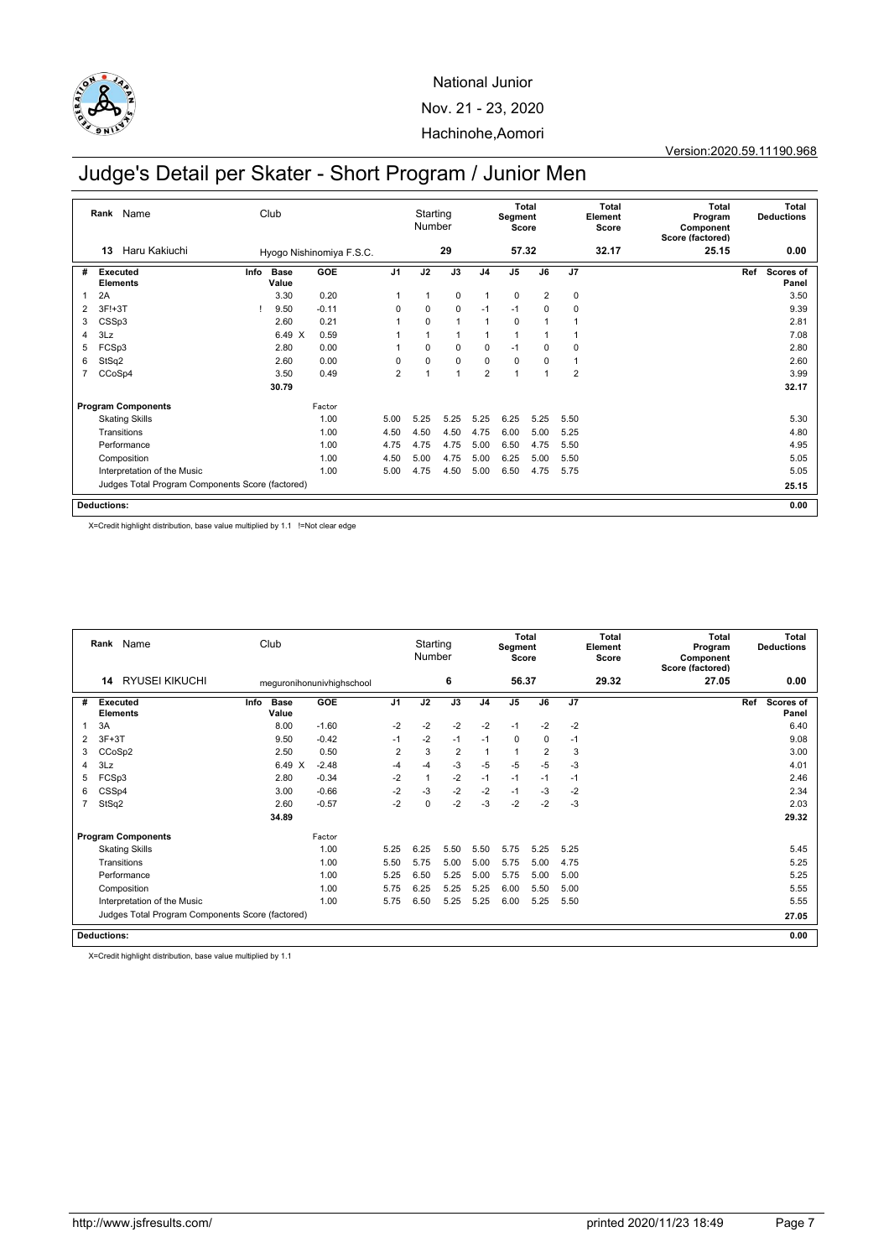

Version:2020.59.11190.968

# Judge's Detail per Skater - Short Program / Junior Men

|                | Name<br>Rank<br>Haru Kakiuchi<br>13              |      | Club                 |                          |                | Starting<br>Number |              |                | Segment<br>Score | <b>Total</b>   |                | Total<br>Element<br>Score | <b>Total</b><br>Program<br>Component<br>Score (factored) |     | <b>Total</b><br><b>Deductions</b> |
|----------------|--------------------------------------------------|------|----------------------|--------------------------|----------------|--------------------|--------------|----------------|------------------|----------------|----------------|---------------------------|----------------------------------------------------------|-----|-----------------------------------|
|                |                                                  |      |                      | Hyogo Nishinomiya F.S.C. |                |                    | 29           |                | 57.32            |                |                | 32.17                     | 25.15                                                    |     | 0.00                              |
| #              | Executed<br><b>Elements</b>                      | Info | <b>Base</b><br>Value | GOE                      | J <sub>1</sub> | J2                 | J3           | J <sub>4</sub> | J <sub>5</sub>   | J6             | J7             |                           |                                                          | Ref | <b>Scores of</b><br>Panel         |
|                | 2A                                               |      | 3.30                 | 0.20                     | -1             | 1                  | $\mathbf 0$  | $\mathbf{1}$   | $\mathbf 0$      | $\overline{2}$ | $\mathbf 0$    |                           |                                                          |     | 3.50                              |
| 2              | $3F!+3T$                                         |      | 9.50                 | $-0.11$                  | $\Omega$       | $\mathbf 0$        | $\mathbf 0$  | $-1$           | $-1$             | $\mathbf 0$    | $\mathbf 0$    |                           |                                                          |     | 9.39                              |
| 3              | CSSp3                                            |      | 2.60                 | 0.21                     |                | 0                  | $\mathbf{1}$ | 1              | $\mathbf 0$      |                |                |                           |                                                          |     | 2.81                              |
| 4              | 3Lz                                              |      | 6.49 X               | 0.59                     |                |                    | $\mathbf{1}$ | 1              | $\overline{1}$   |                |                |                           |                                                          |     | 7.08                              |
| 5              | FCSp3                                            |      | 2.80                 | 0.00                     |                | 0                  | $\mathbf 0$  | $\mathbf 0$    | $-1$             | $\mathbf 0$    | 0              |                           |                                                          |     | 2.80                              |
| 6              | StSq2                                            |      | 2.60                 | 0.00                     | $\Omega$       | 0                  | $\mathbf 0$  | $\mathbf 0$    | $\mathbf 0$      | $\mathbf 0$    | 1              |                           |                                                          |     | 2.60                              |
| $\overline{7}$ | CCoSp4                                           |      | 3.50                 | 0.49                     | $\overline{2}$ | f                  | $\mathbf{1}$ | $\overline{2}$ | 1                |                | $\overline{2}$ |                           |                                                          |     | 3.99                              |
|                |                                                  |      | 30.79                |                          |                |                    |              |                |                  |                |                |                           |                                                          |     | 32.17                             |
|                | <b>Program Components</b>                        |      |                      | Factor                   |                |                    |              |                |                  |                |                |                           |                                                          |     |                                   |
|                | <b>Skating Skills</b>                            |      |                      | 1.00                     | 5.00           | 5.25               | 5.25         | 5.25           | 6.25             | 5.25           | 5.50           |                           |                                                          |     | 5.30                              |
|                | Transitions                                      |      |                      | 1.00                     | 4.50           | 4.50               | 4.50         | 4.75           | 6.00             | 5.00           | 5.25           |                           |                                                          |     | 4.80                              |
|                | Performance                                      |      |                      | 1.00                     | 4.75           | 4.75               | 4.75         | 5.00           | 6.50             | 4.75           | 5.50           |                           |                                                          |     | 4.95                              |
|                | Composition                                      |      |                      | 1.00                     | 4.50           | 5.00               | 4.75         | 5.00           | 6.25             | 5.00           | 5.50           |                           |                                                          |     | 5.05                              |
|                | Interpretation of the Music                      |      |                      | 1.00                     | 5.00           | 4.75               | 4.50         | 5.00           | 6.50             | 4.75           | 5.75           |                           |                                                          |     | 5.05                              |
|                | Judges Total Program Components Score (factored) |      |                      |                          |                |                    |              |                |                  |                |                |                           |                                                          |     | 25.15                             |
|                | <b>Deductions:</b>                               |      |                      |                          |                |                    |              |                |                  |                |                |                           |                                                          |     | 0.00                              |

X=Credit highlight distribution, base value multiplied by 1.1 !=Not clear edge

|   | Club<br>Rank<br>Name<br><b>RYUSEI KIKUCHI</b><br>14<br>meguronihonunivhighschool |      |                      |            |                | Starting<br>Number |                |                | Total<br>Segment<br>Score |                |                | <b>Total</b><br>Element<br>Score | Total<br>Program<br>Component<br>Score (factored) |     | Total<br><b>Deductions</b> |
|---|----------------------------------------------------------------------------------|------|----------------------|------------|----------------|--------------------|----------------|----------------|---------------------------|----------------|----------------|----------------------------------|---------------------------------------------------|-----|----------------------------|
|   |                                                                                  |      |                      |            |                |                    | 6              |                | 56.37                     |                |                | 29.32                            | 27.05                                             |     | 0.00                       |
| # | Executed<br><b>Elements</b>                                                      | Info | <b>Base</b><br>Value | <b>GOE</b> | J <sub>1</sub> | J2                 | J3             | J <sub>4</sub> | J <sub>5</sub>            | J6             | J <sub>7</sub> |                                  |                                                   | Ref | Scores of<br>Panel         |
|   | 3A                                                                               |      | 8.00                 | $-1.60$    | $-2$           | $-2$               | $-2$           | $-2$           | $-1$                      | $-2$           | $-2$           |                                  |                                                   |     | 6.40                       |
| 2 | $3F+3T$                                                                          |      | 9.50                 | $-0.42$    | $-1$           | $-2$               | $-1$           | $-1$           | $\mathbf 0$               | $\mathbf 0$    | $-1$           |                                  |                                                   |     | 9.08                       |
| 3 | CCoSp2                                                                           |      | 2.50                 | 0.50       | $\overline{2}$ | 3                  | $\overline{2}$ | 1              | $\mathbf{1}$              | $\overline{2}$ | 3              |                                  |                                                   |     | 3.00                       |
| 4 | 3Lz                                                                              |      | 6.49<br>X            | $-2.48$    | $-4$           | $-4$               | $-3$           | $-5$           | $-5$                      | $-5$           | $-3$           |                                  |                                                   |     | 4.01                       |
| 5 | FCSp3                                                                            |      | 2.80                 | $-0.34$    | $-2$           |                    | $-2$           | $-1$           | $-1$                      | $-1$           | $-1$           |                                  |                                                   |     | 2.46                       |
| 6 | CSSp4                                                                            |      | 3.00                 | $-0.66$    | $-2$           | $-3$               | $-2$           | $-2$           | $-1$                      | $-3$           | $-2$           |                                  |                                                   |     | 2.34                       |
| 7 | StSq2                                                                            |      | 2.60                 | $-0.57$    | $-2$           | $\mathbf 0$        | $-2$           | $-3$           | $-2$                      | $-2$           | $-3$           |                                  |                                                   |     | 2.03                       |
|   |                                                                                  |      | 34.89                |            |                |                    |                |                |                           |                |                |                                  |                                                   |     | 29.32                      |
|   | <b>Program Components</b>                                                        |      |                      | Factor     |                |                    |                |                |                           |                |                |                                  |                                                   |     |                            |
|   | <b>Skating Skills</b>                                                            |      |                      | 1.00       | 5.25           | 6.25               | 5.50           | 5.50           | 5.75                      | 5.25           | 5.25           |                                  |                                                   |     | 5.45                       |
|   | Transitions                                                                      |      |                      | 1.00       | 5.50           | 5.75               | 5.00           | 5.00           | 5.75                      | 5.00           | 4.75           |                                  |                                                   |     | 5.25                       |
|   | Performance                                                                      |      |                      | 1.00       | 5.25           | 6.50               | 5.25           | 5.00           | 5.75                      | 5.00           | 5.00           |                                  |                                                   |     | 5.25                       |
|   | Composition                                                                      |      |                      | 1.00       | 5.75           | 6.25               | 5.25           | 5.25           | 6.00                      | 5.50           | 5.00           |                                  |                                                   |     | 5.55                       |
|   | Interpretation of the Music                                                      |      |                      | 1.00       | 5.75           | 6.50               | 5.25           | 5.25           | 6.00                      | 5.25           | 5.50           |                                  |                                                   |     | 5.55                       |
|   | Judges Total Program Components Score (factored)                                 |      |                      |            |                |                    |                |                |                           |                |                |                                  | 27.05                                             |     |                            |
|   | <b>Deductions:</b>                                                               |      |                      |            |                |                    |                |                |                           |                |                |                                  |                                                   |     | 0.00                       |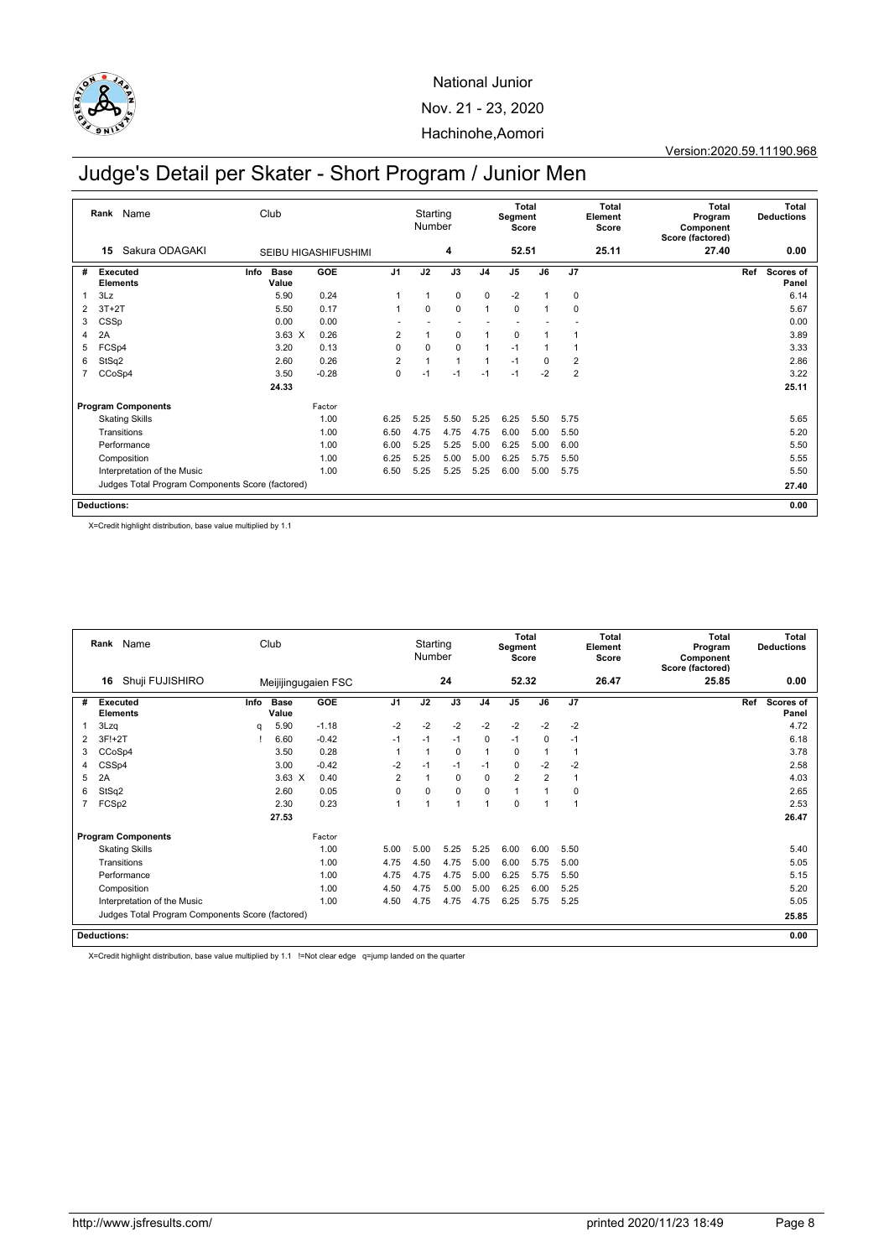

Version:2020.59.11190.968

# Judge's Detail per Skater - Short Program / Junior Men

|   | Rank Name                                        | Club                         |                             |                | Starting<br>Number |              |                | <b>Total</b><br>Segment<br>Score |          |                | Total<br>Element<br>Score | <b>Total</b><br>Program<br>Component<br>Score (factored) | <b>Total</b><br><b>Deductions</b> |
|---|--------------------------------------------------|------------------------------|-----------------------------|----------------|--------------------|--------------|----------------|----------------------------------|----------|----------------|---------------------------|----------------------------------------------------------|-----------------------------------|
|   | Sakura ODAGAKI<br>15                             |                              | <b>SEIBU HIGASHIFUSHIMI</b> |                |                    | 4            |                | 52.51                            |          |                | 25.11                     | 27.40                                                    | 0.00                              |
| # | Executed<br><b>Elements</b>                      | <b>Base</b><br>Info<br>Value | GOE                         | J <sub>1</sub> | J2                 | J3           | J <sub>4</sub> | J <sub>5</sub>                   | J6       | J7             |                           |                                                          | Ref<br>Scores of<br>Panel         |
|   | 3Lz                                              | 5.90                         | 0.24                        |                | 1                  | $\mathbf 0$  | 0              | $-2$                             |          | $\mathbf 0$    |                           |                                                          | 6.14                              |
| 2 | $3T+2T$                                          | 5.50                         | 0.17                        | 1              | $\Omega$           | $\Omega$     | 1              | $\Omega$                         |          | $\mathbf 0$    |                           |                                                          | 5.67                              |
| 3 | CSSp                                             | 0.00                         | 0.00                        |                |                    |              |                |                                  |          |                |                           |                                                          | 0.00                              |
| 4 | 2A                                               | $3.63 \times$                | 0.26                        | $\overline{2}$ | 1                  | $\mathbf 0$  | 1              | 0                                |          |                |                           |                                                          | 3.89                              |
| 5 | FCSp4                                            | 3.20                         | 0.13                        | $\Omega$       | $\Omega$           | $\mathbf 0$  | 1              | $-1$                             | -1       |                |                           |                                                          | 3.33                              |
| 6 | StSq2                                            | 2.60                         | 0.26                        | $\overline{2}$ | 1                  | $\mathbf{1}$ | 1              | $-1$                             | $\Omega$ | $\overline{2}$ |                           |                                                          | 2.86                              |
|   | CCoSp4                                           | 3.50                         | $-0.28$                     | 0              | $-1$               | $-1$         | $-1$           | $-1$                             | $-2$     | $\overline{2}$ |                           |                                                          | 3.22                              |
|   |                                                  | 24.33                        |                             |                |                    |              |                |                                  |          |                |                           |                                                          | 25.11                             |
|   | <b>Program Components</b>                        |                              | Factor                      |                |                    |              |                |                                  |          |                |                           |                                                          |                                   |
|   | <b>Skating Skills</b>                            |                              | 1.00                        | 6.25           | 5.25               | 5.50         | 5.25           | 6.25                             | 5.50     | 5.75           |                           |                                                          | 5.65                              |
|   | Transitions                                      |                              | 1.00                        | 6.50           | 4.75               | 4.75         | 4.75           | 6.00                             | 5.00     | 5.50           |                           |                                                          | 5.20                              |
|   | Performance                                      |                              | 1.00                        | 6.00           | 5.25               | 5.25         | 5.00           | 6.25                             | 5.00     | 6.00           |                           |                                                          | 5.50                              |
|   | Composition                                      |                              | 1.00                        | 6.25           | 5.25               | 5.00         | 5.00           | 6.25                             | 5.75     | 5.50           |                           |                                                          | 5.55                              |
|   | Interpretation of the Music                      |                              | 1.00                        | 6.50           | 5.25               | 5.25         | 5.25           | 6.00                             | 5.00     | 5.75           |                           |                                                          | 5.50                              |
|   | Judges Total Program Components Score (factored) |                              |                             |                |                    |              |                |                                  |          |                |                           |                                                          | 27.40                             |
|   | <b>Deductions:</b>                               |                              |                             |                |                    |              |                |                                  |          |                |                           |                                                          | 0.00                              |

X=Credit highlight distribution, base value multiplied by 1.1

|   | Club<br>Rank Name<br>Shuji FUJISHIRO<br>16<br>Meijijingugaien FSC |      |                      |            |                | Starting<br>Number |             |                | Total<br>Segment<br>Score |                |                | Total<br>Element<br>Score | Total<br>Program<br>Component<br>Score (factored) |     | Total<br><b>Deductions</b> |
|---|-------------------------------------------------------------------|------|----------------------|------------|----------------|--------------------|-------------|----------------|---------------------------|----------------|----------------|---------------------------|---------------------------------------------------|-----|----------------------------|
|   |                                                                   |      |                      |            |                |                    | 24          |                | 52.32                     |                |                | 26.47                     | 25.85                                             |     | 0.00                       |
| # | <b>Executed</b><br><b>Elements</b>                                | Info | <b>Base</b><br>Value | <b>GOE</b> | J <sub>1</sub> | J2                 | J3          | J <sub>4</sub> | $\mathsf{J}5$             | J6             | J7             |                           |                                                   | Ref | <b>Scores of</b><br>Panel  |
|   | 3Lzq                                                              | q    | 5.90                 | $-1.18$    | $-2$           | $-2$               | $-2$        | $-2$           | $-2$                      | $-2$           | $-2$           |                           |                                                   |     | 4.72                       |
| 2 | 3F!+2T                                                            |      | 6.60                 | $-0.42$    | $-1$           | $-1$               | $-1$        | $\Omega$       | $-1$                      | $\Omega$       | $-1$           |                           |                                                   |     | 6.18                       |
| 3 | CCoSp4                                                            |      | 3.50                 | 0.28       |                |                    | $\mathbf 0$ | $\overline{1}$ | $\mathbf 0$               |                | -1             |                           |                                                   |     | 3.78                       |
| 4 | CSSp4                                                             |      | 3.00                 | $-0.42$    | $-2$           | $-1$               | $-1$        | $-1$           | $\mathbf 0$               | $-2$           | $-2$           |                           |                                                   |     | 2.58                       |
| 5 | 2A                                                                |      | $3.63 \times$        | 0.40       | $\overline{2}$ |                    | $\Omega$    | $\Omega$       | 2                         | $\overline{2}$ | $\overline{1}$ |                           |                                                   |     | 4.03                       |
| 6 | StSq2                                                             |      | 2.60                 | 0.05       | $\mathbf 0$    | $\mathbf 0$        | $\mathbf 0$ | $\mathbf 0$    | $\mathbf{1}$              | $\mathbf{1}$   | $\mathbf 0$    |                           |                                                   |     | 2.65                       |
|   | FCSp2                                                             |      | 2.30                 | 0.23       | 1              | $\overline{1}$     | 1           | $\overline{1}$ | $\mathbf 0$               | $\overline{1}$ | $\mathbf{1}$   |                           |                                                   |     | 2.53                       |
|   |                                                                   |      | 27.53                |            |                |                    |             |                |                           |                |                |                           |                                                   |     | 26.47                      |
|   | <b>Program Components</b>                                         |      |                      | Factor     |                |                    |             |                |                           |                |                |                           |                                                   |     |                            |
|   | <b>Skating Skills</b>                                             |      |                      | 1.00       | 5.00           | 5.00               | 5.25        | 5.25           | 6.00                      | 6.00           | 5.50           |                           |                                                   |     | 5.40                       |
|   | Transitions                                                       |      |                      | 1.00       | 4.75           | 4.50               | 4.75        | 5.00           | 6.00                      | 5.75           | 5.00           |                           |                                                   |     | 5.05                       |
|   | Performance                                                       |      |                      | 1.00       | 4.75           | 4.75               | 4.75        | 5.00           | 6.25                      | 5.75           | 5.50           |                           |                                                   |     | 5.15                       |
|   | Composition                                                       |      |                      | 1.00       | 4.50           | 4.75               | 5.00        | 5.00           | 6.25                      | 6.00           | 5.25           |                           |                                                   |     | 5.20                       |
|   | Interpretation of the Music                                       |      |                      | 1.00       | 4.50           | 4.75               | 4.75        | 4.75           | 6.25                      | 5.75           | 5.25           |                           |                                                   |     | 5.05                       |
|   | Judges Total Program Components Score (factored)                  |      |                      |            |                |                    |             |                |                           |                |                |                           |                                                   |     | 25.85                      |
|   | <b>Deductions:</b>                                                |      |                      |            |                |                    |             |                |                           |                |                |                           |                                                   |     | 0.00                       |

X=Credit highlight distribution, base value multiplied by 1.1 !=Not clear edge q=jump landed on the quarter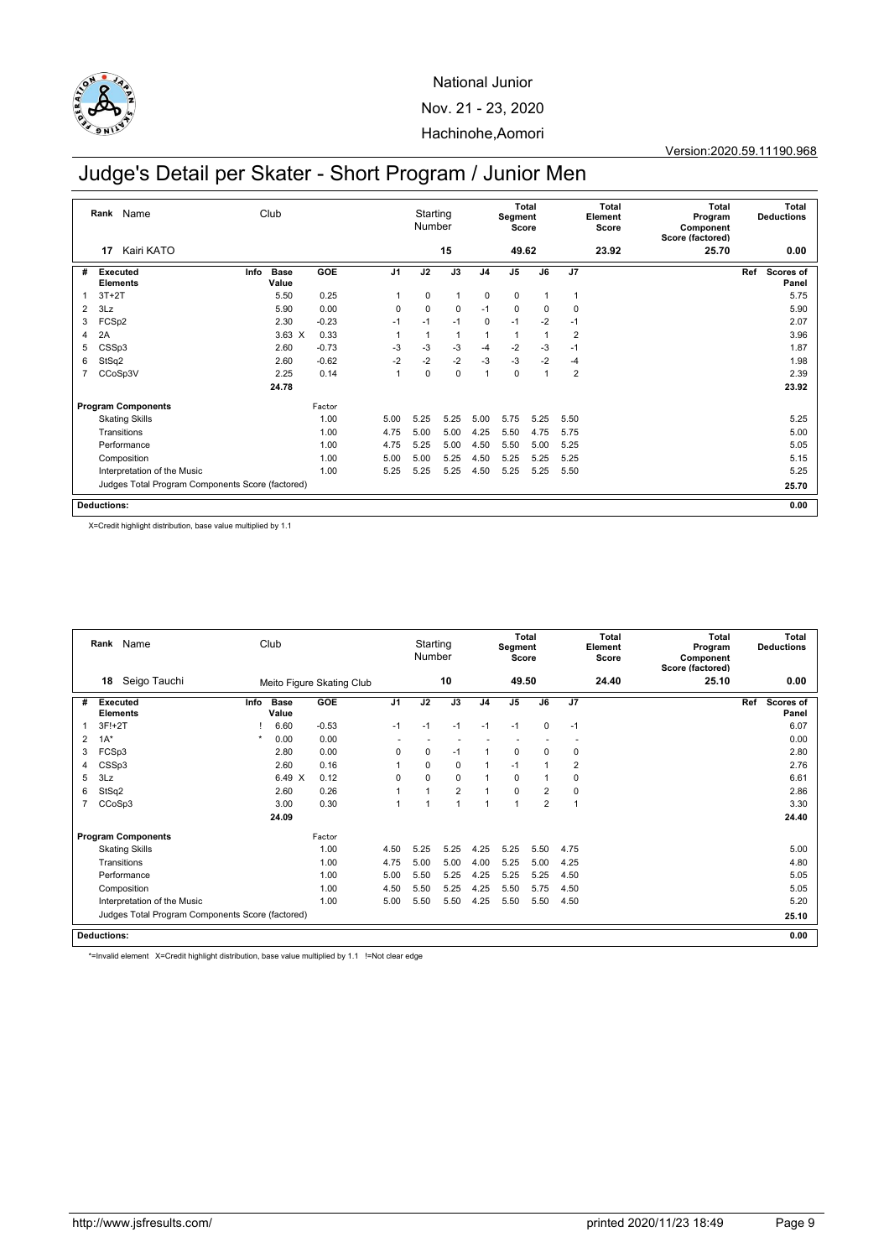

#### Version:2020.59.11190.968

# Judge's Detail per Skater - Short Program / Junior Men

|   | Rank<br>Name                                     |      | Club                 |         |                | Starting<br>Number |                |                | <b>Total</b><br>Segment<br>Score |                |                | Total<br>Element<br>Score | <b>Total</b><br>Program<br>Component<br>Score (factored) |     | <b>Total</b><br><b>Deductions</b> |
|---|--------------------------------------------------|------|----------------------|---------|----------------|--------------------|----------------|----------------|----------------------------------|----------------|----------------|---------------------------|----------------------------------------------------------|-----|-----------------------------------|
|   | Kairi KATO<br>17                                 |      |                      |         |                |                    | 15             |                | 49.62                            |                |                | 23.92                     | 25.70                                                    |     | 0.00                              |
| # | Executed<br><b>Elements</b>                      | Info | <b>Base</b><br>Value | GOE     | J <sub>1</sub> | J2                 | J3             | J <sub>4</sub> | J <sub>5</sub>                   | J6             | J7             |                           |                                                          | Ref | Scores of<br>Panel                |
|   | $3T+2T$                                          |      | 5.50                 | 0.25    | 1              | $\mathbf 0$        | $\mathbf{1}$   | $\mathbf 0$    | 0                                | $\overline{1}$ | -1             |                           |                                                          |     | 5.75                              |
| 2 | 3Lz                                              |      | 5.90                 | 0.00    | $\mathbf 0$    | $\mathbf 0$        | $\mathbf 0$    | $-1$           | $\mathbf 0$                      | $\mathbf 0$    | 0              |                           |                                                          |     | 5.90                              |
| 3 | FCSp2                                            |      | 2.30                 | $-0.23$ | $-1$           | $-1$               | $-1$           | $\mathbf 0$    | $-1$                             | $-2$           | $-1$           |                           |                                                          |     | 2.07                              |
| 4 | 2A                                               |      | $3.63 \times$        | 0.33    |                |                    | $\overline{1}$ | 1              | $\overline{1}$                   | 1              | $\overline{2}$ |                           |                                                          |     | 3.96                              |
| 5 | CSSp3                                            |      | 2.60                 | $-0.73$ | $-3$           | $-3$               | $-3$           | $-4$           | $-2$                             | $-3$           | $-1$           |                           |                                                          |     | 1.87                              |
| 6 | StSq2                                            |      | 2.60                 | $-0.62$ | $-2$           | $-2$               | $-2$           | $-3$           | $-3$                             | $-2$           | $-4$           |                           |                                                          |     | 1.98                              |
|   | CCoSp3V                                          |      | 2.25                 | 0.14    | $\mathbf{1}$   | $\mathbf 0$        | $\mathbf 0$    | 1              | 0                                | 1              | $\overline{2}$ |                           |                                                          |     | 2.39                              |
|   |                                                  |      | 24.78                |         |                |                    |                |                |                                  |                |                |                           |                                                          |     | 23.92                             |
|   | <b>Program Components</b>                        |      |                      | Factor  |                |                    |                |                |                                  |                |                |                           |                                                          |     |                                   |
|   | <b>Skating Skills</b>                            |      |                      | 1.00    | 5.00           | 5.25               | 5.25           | 5.00           | 5.75                             | 5.25           | 5.50           |                           |                                                          |     | 5.25                              |
|   | Transitions                                      |      |                      | 1.00    | 4.75           | 5.00               | 5.00           | 4.25           | 5.50                             | 4.75           | 5.75           |                           |                                                          |     | 5.00                              |
|   | Performance                                      |      |                      | 1.00    | 4.75           | 5.25               | 5.00           | 4.50           | 5.50                             | 5.00           | 5.25           |                           |                                                          |     | 5.05                              |
|   | Composition                                      |      |                      | 1.00    | 5.00           | 5.00               | 5.25           | 4.50           | 5.25                             | 5.25           | 5.25           |                           |                                                          |     | 5.15                              |
|   | Interpretation of the Music                      |      |                      | 1.00    | 5.25           | 5.25               | 5.25           | 4.50           | 5.25                             | 5.25           | 5.50           |                           |                                                          |     | 5.25                              |
|   | Judges Total Program Components Score (factored) |      |                      |         |                |                    |                |                |                                  |                |                |                           |                                                          |     | 25.70                             |
|   | <b>Deductions:</b>                               |      |                      |         |                |                    |                |                |                                  |                |                |                           |                                                          |     | 0.00                              |

X=Credit highlight distribution, base value multiplied by 1.1

|   | Club<br>Rank<br>Name<br>Seigo Tauchi<br>18<br>Meito Figure Skating Club |         |                      |            |                | Starting<br>Number |                |                | Segment<br>Score | Total          |                | Total<br>Element<br>Score | Total<br>Program<br>Component<br>Score (factored) |     | Total<br><b>Deductions</b> |
|---|-------------------------------------------------------------------------|---------|----------------------|------------|----------------|--------------------|----------------|----------------|------------------|----------------|----------------|---------------------------|---------------------------------------------------|-----|----------------------------|
|   |                                                                         |         |                      |            |                |                    | 10             |                | 49.50            |                |                | 24.40                     | 25.10                                             |     | 0.00                       |
| # | <b>Executed</b><br><b>Elements</b>                                      | Info    | <b>Base</b><br>Value | <b>GOE</b> | J <sub>1</sub> | J2                 | J3             | J <sub>4</sub> | J <sub>5</sub>   | J6             | J <sub>7</sub> |                           |                                                   | Ref | <b>Scores of</b><br>Panel  |
|   | 3F!+2T                                                                  |         | 6.60                 | $-0.53$    | $-1$           | $-1$               | $-1$           | $-1$           | $-1$             | $\Omega$       | $-1$           |                           |                                                   |     | 6.07                       |
| 2 | $1A^*$                                                                  | $\star$ | 0.00                 | 0.00       |                |                    |                |                |                  |                |                |                           |                                                   |     | 0.00                       |
| 3 | FCSp3                                                                   |         | 2.80                 | 0.00       | 0              | $\mathbf 0$        | $-1$           |                | $\mathbf 0$      | 0              | $\mathbf 0$    |                           |                                                   |     | 2.80                       |
| 4 | CSSp3                                                                   |         | 2.60                 | 0.16       | 1              | $\mathbf 0$        | $\mathbf 0$    |                | $-1$             |                | $\overline{2}$ |                           |                                                   |     | 2.76                       |
| 5 | 3Lz                                                                     |         | 6.49 X               | 0.12       | 0              | $\Omega$           | $\mathbf 0$    |                | $\mathbf 0$      |                | $\mathbf 0$    |                           |                                                   |     | 6.61                       |
| 6 | StSq2                                                                   |         | 2.60                 | 0.26       | 1              | 1                  | $\overline{2}$ |                | $\mathbf 0$      | $\overline{2}$ | $\mathbf 0$    |                           |                                                   |     | 2.86                       |
| 7 | CCoSp3                                                                  |         | 3.00                 | 0.30       | 1              | $\overline{1}$     | 1              | $\overline{1}$ | $\mathbf{1}$     | $\overline{2}$ | $\overline{1}$ |                           |                                                   |     | 3.30                       |
|   |                                                                         |         | 24.09                |            |                |                    |                |                |                  |                |                |                           |                                                   |     | 24.40                      |
|   | <b>Program Components</b>                                               |         |                      | Factor     |                |                    |                |                |                  |                |                |                           |                                                   |     |                            |
|   | <b>Skating Skills</b>                                                   |         |                      | 1.00       | 4.50           | 5.25               | 5.25           | 4.25           | 5.25             | 5.50           | 4.75           |                           |                                                   |     | 5.00                       |
|   | Transitions                                                             |         |                      | 1.00       | 4.75           | 5.00               | 5.00           | 4.00           | 5.25             | 5.00           | 4.25           |                           |                                                   |     | 4.80                       |
|   | Performance                                                             |         |                      | 1.00       | 5.00           | 5.50               | 5.25           | 4.25           | 5.25             | 5.25           | 4.50           |                           |                                                   |     | 5.05                       |
|   | Composition                                                             |         |                      | 1.00       | 4.50           | 5.50               | 5.25           | 4.25           | 5.50             | 5.75           | 4.50           |                           |                                                   |     | 5.05                       |
|   | Interpretation of the Music                                             |         |                      | 1.00       | 5.00           | 5.50               | 5.50           | 4.25           | 5.50             | 5.50           | 4.50           |                           |                                                   |     | 5.20                       |
|   | Judges Total Program Components Score (factored)                        |         |                      |            |                |                    |                |                |                  |                |                |                           |                                                   |     | 25.10                      |
|   | <b>Deductions:</b>                                                      |         |                      |            |                |                    |                |                |                  |                |                |                           |                                                   |     | 0.00                       |

\*=Invalid element X=Credit highlight distribution, base value multiplied by 1.1 !=Not clear edge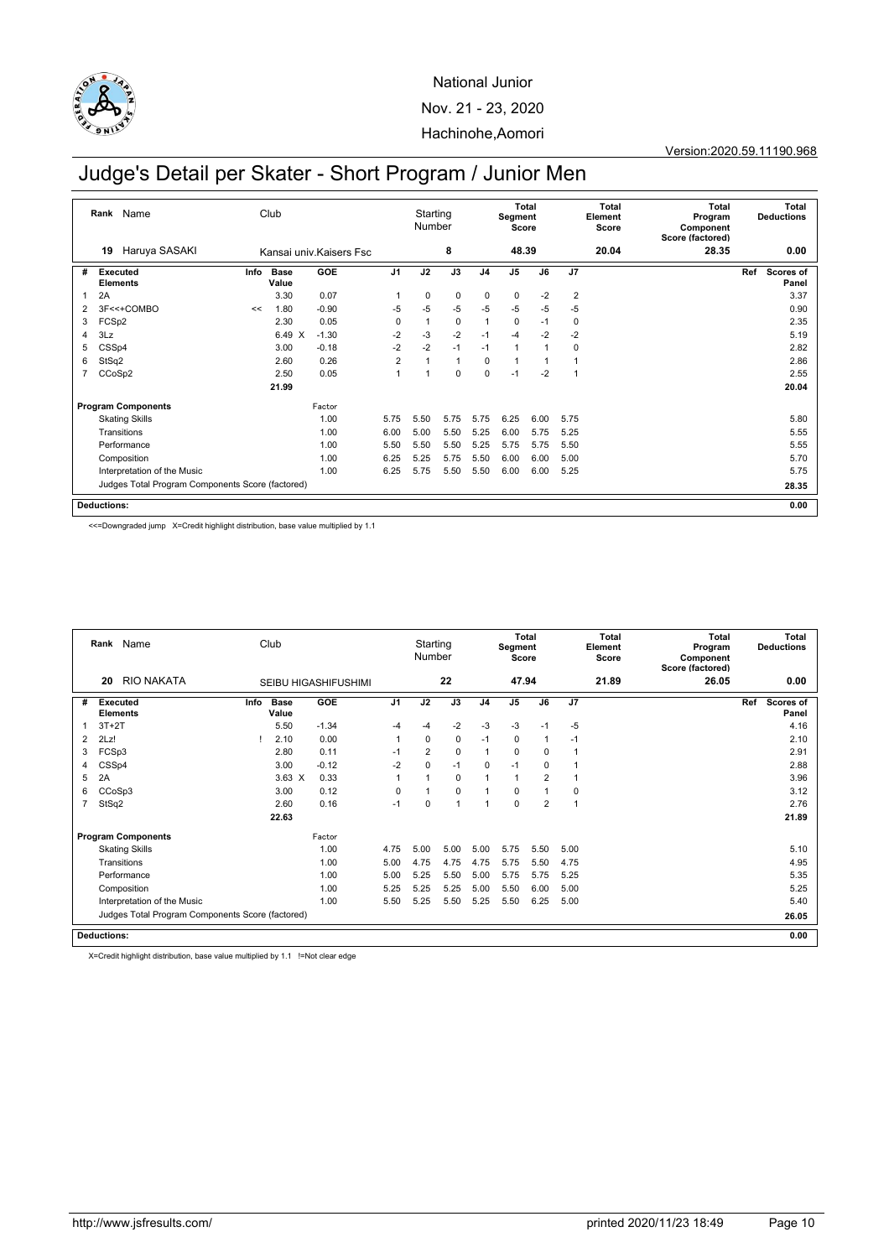

#### Version:2020.59.11190.968

# Judge's Detail per Skater - Short Program / Junior Men

|   | Name<br>Rank                                     |      | Club                 |                          |                | Starting<br>Number |                |                | Segment<br>Score | <b>Total</b> |                | Total<br>Element<br>Score | <b>Total</b><br>Program<br>Component<br>Score (factored) | Total<br><b>Deductions</b> |
|---|--------------------------------------------------|------|----------------------|--------------------------|----------------|--------------------|----------------|----------------|------------------|--------------|----------------|---------------------------|----------------------------------------------------------|----------------------------|
|   | Haruya SASAKI<br>19                              |      |                      | Kansai univ. Kaisers Fsc |                |                    | 8              |                | 48.39            |              |                | 20.04                     | 28.35                                                    | 0.00                       |
| # | <b>Executed</b><br><b>Elements</b>               | Info | <b>Base</b><br>Value | <b>GOE</b>               | J <sub>1</sub> | J2                 | J3             | J <sub>4</sub> | J <sub>5</sub>   | J6           | J7             |                           |                                                          | Ref<br>Scores of<br>Panel  |
|   | 2A                                               |      | 3.30                 | 0.07                     |                | $\Omega$           | $\mathbf 0$    | $\mathbf 0$    | $\mathbf 0$      | $-2$         | $\overline{2}$ |                           |                                                          | 3.37                       |
| 2 | 3F<<+COMBO                                       | <<   | 1.80                 | $-0.90$                  | $-5$           | $-5$               | $-5$           | $-5$           | $-5$             | $-5$         | $-5$           |                           |                                                          | 0.90                       |
| 3 | FCSp2                                            |      | 2.30                 | 0.05                     | $\mathbf 0$    |                    | $\mathbf 0$    | $\mathbf{1}$   | 0                | $-1$         | 0              |                           |                                                          | 2.35                       |
| 4 | 3Lz                                              |      | $6.49 \text{ X}$     | $-1.30$                  | $-2$           | $-3$               | $-2$           | $-1$           | $-4$             | $-2$         | $-2$           |                           |                                                          | 5.19                       |
| 5 | CSSp4                                            |      | 3.00                 | $-0.18$                  | $-2$           | $-2$               | $-1$           | $-1$           | 1                | 1            | $\mathbf 0$    |                           |                                                          | 2.82                       |
| 6 | StSq2                                            |      | 2.60                 | 0.26                     | $\overline{2}$ |                    | $\overline{1}$ | $\Omega$       | 1                | 1            | 1              |                           |                                                          | 2.86                       |
|   | CCoSp2                                           |      | 2.50                 | 0.05                     | $\overline{1}$ | $\overline{ }$     | $\mathbf 0$    | $\mathbf 0$    | $-1$             | $-2$         | 1              |                           |                                                          | 2.55                       |
|   |                                                  |      | 21.99                |                          |                |                    |                |                |                  |              |                |                           |                                                          | 20.04                      |
|   | <b>Program Components</b>                        |      |                      | Factor                   |                |                    |                |                |                  |              |                |                           |                                                          |                            |
|   | <b>Skating Skills</b>                            |      |                      | 1.00                     | 5.75           | 5.50               | 5.75           | 5.75           | 6.25             | 6.00         | 5.75           |                           |                                                          | 5.80                       |
|   | Transitions                                      |      |                      | 1.00                     | 6.00           | 5.00               | 5.50           | 5.25           | 6.00             | 5.75         | 5.25           |                           |                                                          | 5.55                       |
|   | Performance                                      |      |                      | 1.00                     | 5.50           | 5.50               | 5.50           | 5.25           | 5.75             | 5.75         | 5.50           |                           |                                                          | 5.55                       |
|   | Composition                                      |      |                      | 1.00                     | 6.25           | 5.25               | 5.75           | 5.50           | 6.00             | 6.00         | 5.00           |                           |                                                          | 5.70                       |
|   | Interpretation of the Music                      |      |                      | 1.00                     | 6.25           | 5.75               | 5.50           | 5.50           | 6.00             | 6.00         | 5.25           |                           |                                                          | 5.75                       |
|   | Judges Total Program Components Score (factored) |      |                      |                          |                |                    |                |                |                  |              |                | 28.35                     |                                                          |                            |
|   | <b>Deductions:</b>                               |      |                      |                          |                |                    |                |                |                  |              |                |                           |                                                          | 0.00                       |

<<=Downgraded jump X=Credit highlight distribution, base value multiplied by 1.1

|   | Rank Name<br><b>RIO NAKATA</b><br>20             |      | Club          |                      |                | Starting<br>Number |             |                | Segment<br>Score | <b>Total</b>   |      | Total<br>Element<br>Score | Total<br>Program<br>Component<br>Score (factored) |     | Total<br><b>Deductions</b> |
|---|--------------------------------------------------|------|---------------|----------------------|----------------|--------------------|-------------|----------------|------------------|----------------|------|---------------------------|---------------------------------------------------|-----|----------------------------|
|   |                                                  |      |               | SEIBU HIGASHIFUSHIMI |                |                    | 22          |                | 47.94            |                |      | 21.89                     | 26.05                                             |     | 0.00                       |
| # | <b>Executed</b><br><b>Elements</b>               | Info | Base<br>Value | <b>GOE</b>           | J <sub>1</sub> | J2                 | J3          | J <sub>4</sub> | J5               | J6             | J7   |                           |                                                   | Ref | <b>Scores of</b><br>Panel  |
|   | $3T+2T$                                          |      | 5.50          | $-1.34$              | $-4$           | $-4$               | $-2$        | $-3$           | $-3$             | $-1$           | $-5$ |                           |                                                   |     | 4.16                       |
| 2 | 2Lz!                                             |      | 2.10          | 0.00                 | $\overline{1}$ | $\mathbf 0$        | $\mathbf 0$ | $-1$           | $\mathbf 0$      | 1              | $-1$ |                           |                                                   |     | 2.10                       |
| 3 | FCSp3                                            |      | 2.80          | 0.11                 | $-1$           | $\overline{2}$     | $\mathbf 0$ | $\overline{1}$ | $\mathbf 0$      | 0              | 1    |                           |                                                   |     | 2.91                       |
| 4 | CSS <sub>p4</sub>                                |      | 3.00          | $-0.12$              | $-2$           | $\Omega$           | $-1$        | $\Omega$       | $-1$             | $\Omega$       | 1    |                           |                                                   |     | 2.88                       |
| 5 | 2A                                               |      | $3.63 \times$ | 0.33                 |                |                    | $\mathbf 0$ | 1              | $\mathbf{1}$     | $\overline{2}$ | 1    |                           |                                                   |     | 3.96                       |
| 6 | CCoSp3                                           |      | 3.00          | 0.12                 | $\mathbf 0$    |                    | $\mathbf 0$ | $\overline{1}$ | $\mathbf 0$      |                | 0    |                           |                                                   |     | 3.12                       |
|   | StSq2                                            |      | 2.60          | 0.16                 | $-1$           | $\mathbf 0$        | -1          | $\overline{ }$ | $\mathbf 0$      | $\overline{2}$ | 1    |                           |                                                   |     | 2.76                       |
|   |                                                  |      | 22.63         |                      |                |                    |             |                |                  |                |      |                           |                                                   |     | 21.89                      |
|   | <b>Program Components</b>                        |      |               | Factor               |                |                    |             |                |                  |                |      |                           |                                                   |     |                            |
|   | <b>Skating Skills</b>                            |      |               | 1.00                 | 4.75           | 5.00               | 5.00        | 5.00           | 5.75             | 5.50           | 5.00 |                           |                                                   |     | 5.10                       |
|   | Transitions                                      |      |               | 1.00                 | 5.00           | 4.75               | 4.75        | 4.75           | 5.75             | 5.50           | 4.75 |                           |                                                   |     | 4.95                       |
|   | Performance                                      |      |               | 1.00                 | 5.00           | 5.25               | 5.50        | 5.00           | 5.75             | 5.75           | 5.25 |                           |                                                   |     | 5.35                       |
|   | Composition                                      |      |               | 1.00                 | 5.25           | 5.25               | 5.25        | 5.00           | 5.50             | 6.00           | 5.00 |                           |                                                   |     | 5.25                       |
|   | Interpretation of the Music                      |      |               | 1.00                 | 5.50           | 5.25               | 5.50        | 5.25           | 5.50             | 6.25           | 5.00 |                           |                                                   |     | 5.40                       |
|   | Judges Total Program Components Score (factored) |      |               |                      |                |                    |             |                |                  |                |      | 26.05                     |                                                   |     |                            |
|   | <b>Deductions:</b>                               |      |               |                      |                |                    |             |                |                  |                |      |                           |                                                   |     | 0.00                       |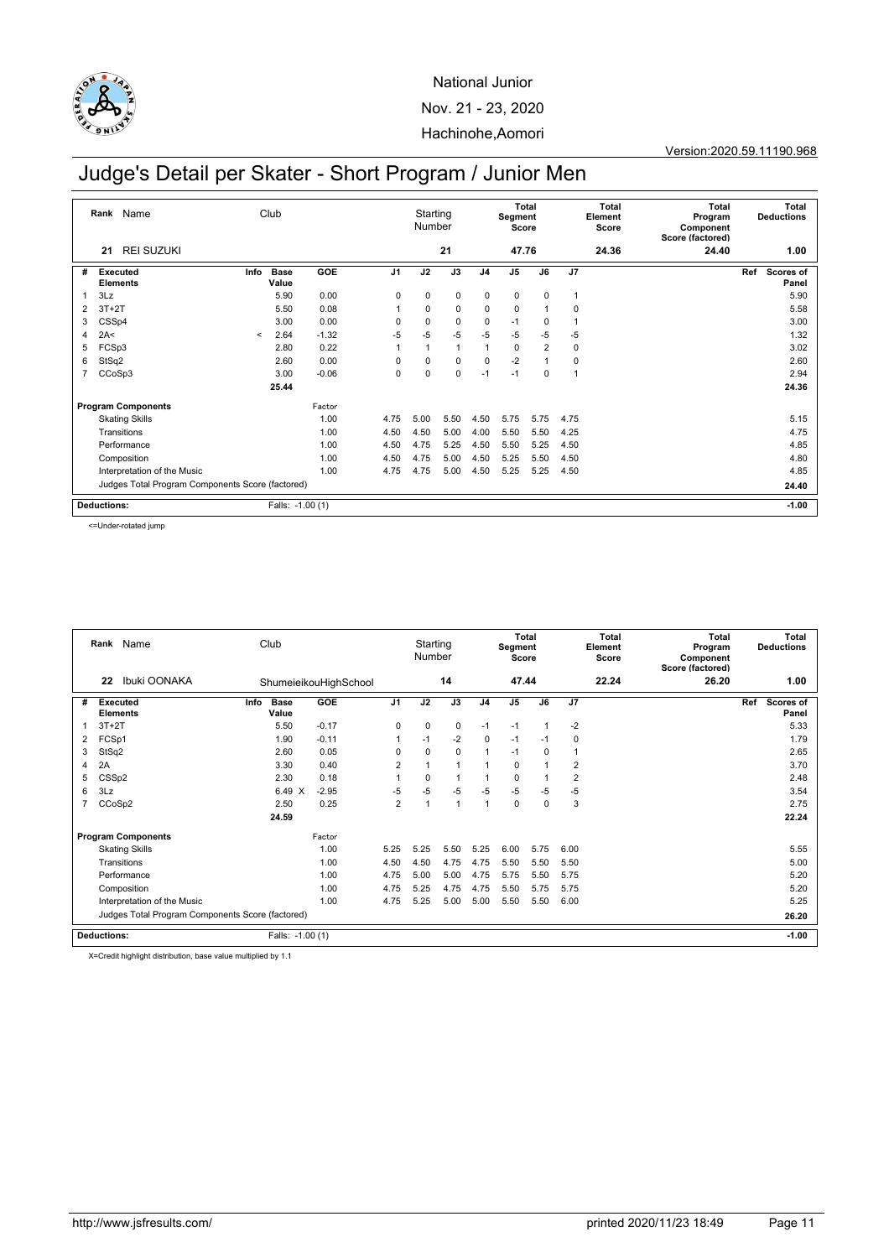

Version:2020.59.11190.968

# Judge's Detail per Skater - Short Program / Junior Men

|   | Name<br>Rank                                     |         | Club                 |         |                | Starting<br>Number |              |                | Total<br>Segment<br>Score |                |             | Total<br>Element<br>Score | <b>Total</b><br>Program<br>Component<br>Score (factored) |     | Total<br><b>Deductions</b> |
|---|--------------------------------------------------|---------|----------------------|---------|----------------|--------------------|--------------|----------------|---------------------------|----------------|-------------|---------------------------|----------------------------------------------------------|-----|----------------------------|
|   | <b>REI SUZUKI</b><br>21                          |         |                      |         |                |                    | 21           |                | 47.76                     |                |             | 24.36                     | 24.40                                                    |     | 1.00                       |
| # | Executed<br><b>Elements</b>                      | Info    | <b>Base</b><br>Value | GOE     | J <sub>1</sub> | J2                 | J3           | J <sub>4</sub> | J <sub>5</sub>            | J6             | J7          |                           |                                                          | Ref | Scores of<br>Panel         |
| 1 | 3Lz                                              |         | 5.90                 | 0.00    | $\mathbf 0$    | $\mathbf 0$        | $\mathbf 0$  | $\mathbf 0$    | $\mathbf 0$               | $\mathbf 0$    | 1           |                           |                                                          |     | 5.90                       |
| 2 | $3T+2T$                                          |         | 5.50                 | 0.08    | $\overline{1}$ | $\Omega$           | $\mathbf 0$  | 0              | $\mathbf 0$               | 1              | 0           |                           |                                                          |     | 5.58                       |
| 3 | CSSp4                                            |         | 3.00                 | 0.00    | $\Omega$       | $\mathbf 0$        | $\pmb{0}$    | 0              | $-1$                      | 0              |             |                           |                                                          |     | 3.00                       |
| 4 | 2A<                                              | $\prec$ | 2.64                 | $-1.32$ | $-5$           | $-5$               | $-5$         | $-5$           | $-5$                      | $-5$           | $-5$        |                           |                                                          |     | 1.32                       |
| 5 | FCSp3                                            |         | 2.80                 | 0.22    | $\overline{1}$ | 1                  | $\mathbf{1}$ | 1              | $\mathbf 0$               | $\overline{2}$ | 0           |                           |                                                          |     | 3.02                       |
| 6 | StSq2                                            |         | 2.60                 | 0.00    | $\Omega$       | $\Omega$           | $\mathbf 0$  | $\Omega$       | $-2$                      | 1              | $\mathbf 0$ |                           |                                                          |     | 2.60                       |
|   | CCoSp3                                           |         | 3.00                 | $-0.06$ | $\mathbf 0$    | $\mathbf 0$        | $\mathbf 0$  | $-1$           | $-1$                      | 0              | ł.          |                           |                                                          |     | 2.94                       |
|   |                                                  |         | 25.44                |         |                |                    |              |                |                           |                |             |                           |                                                          |     | 24.36                      |
|   | <b>Program Components</b>                        |         |                      | Factor  |                |                    |              |                |                           |                |             |                           |                                                          |     |                            |
|   | <b>Skating Skills</b>                            |         |                      | 1.00    | 4.75           | 5.00               | 5.50         | 4.50           | 5.75                      | 5.75           | 4.75        |                           |                                                          |     | 5.15                       |
|   | Transitions                                      |         |                      | 1.00    | 4.50           | 4.50               | 5.00         | 4.00           | 5.50                      | 5.50           | 4.25        |                           |                                                          |     | 4.75                       |
|   | Performance                                      |         |                      | 1.00    | 4.50           | 4.75               | 5.25         | 4.50           | 5.50                      | 5.25           | 4.50        |                           |                                                          |     | 4.85                       |
|   | Composition                                      |         |                      | 1.00    | 4.50           | 4.75               | 5.00         | 4.50           | 5.25                      | 5.50           | 4.50        |                           |                                                          |     | 4.80                       |
|   | Interpretation of the Music                      |         |                      | 1.00    | 4.75           | 4.75               | 5.00         | 4.50           | 5.25                      | 5.25           | 4.50        |                           |                                                          |     | 4.85                       |
|   | Judges Total Program Components Score (factored) |         |                      |         |                |                    |              |                |                           |                |             |                           |                                                          |     | 24.40                      |
|   | <b>Deductions:</b>                               |         | Falls: -1.00 (1)     |         |                |                    |              |                |                           |                |             |                           |                                                          |     | $-1.00$                    |

<=Under-rotated jump

|                | Rank               | Name                                             |      | Club                 |                       |                | Starting<br>Number |             |                | Segment<br>Score | Total        |                | Total<br>Element<br>Score | <b>Total</b><br>Program<br>Component<br>Score (factored) |     | <b>Total</b><br><b>Deductions</b> |
|----------------|--------------------|--------------------------------------------------|------|----------------------|-----------------------|----------------|--------------------|-------------|----------------|------------------|--------------|----------------|---------------------------|----------------------------------------------------------|-----|-----------------------------------|
|                | 22                 | Ibuki OONAKA                                     |      |                      | ShumeieikouHighSchool |                |                    | 14          |                | 47.44            |              |                | 22.24                     | 26.20                                                    |     | 1.00                              |
| #              |                    | <b>Executed</b><br><b>Elements</b>               | Info | <b>Base</b><br>Value | <b>GOE</b>            | J1             | J2                 | J3          | J <sub>4</sub> | J5               | J6           | J7             |                           |                                                          | Ref | <b>Scores of</b><br>Panel         |
|                | $3T+2T$            |                                                  |      | 5.50                 | $-0.17$               | $\mathbf 0$    | $\mathbf 0$        | $\mathbf 0$ | $-1$           | $-1$             |              | $-2$           |                           |                                                          |     | 5.33                              |
| 2              | FCSp1              |                                                  |      | 1.90                 | $-0.11$               | 1              | $-1$               | $-2$        | $\mathbf 0$    | $-1$             | $-1$         | $\mathbf 0$    |                           |                                                          |     | 1.79                              |
| 3              | StSq2              |                                                  |      | 2.60                 | 0.05                  | $\Omega$       | $\Omega$           | $\Omega$    |                | $-1$             | $\Omega$     | $\mathbf{1}$   |                           |                                                          |     | 2.65                              |
| 4              | 2A                 |                                                  |      | 3.30                 | 0.40                  | $\overline{2}$ | $\overline{ }$     | 1           |                | $\mathbf 0$      |              | $\overline{2}$ |                           |                                                          |     | 3.70                              |
| 5              | CSSp2              |                                                  |      | 2.30                 | 0.18                  | 1              | $\Omega$           |             |                | $\mathbf 0$      | $\mathbf{1}$ | $\overline{2}$ |                           |                                                          |     | 2.48                              |
| 6              | 3Lz                |                                                  |      | 6.49<br>$\times$     | $-2.95$               | $-5$           | $-5$               | $-5$        | $-5$           | $-5$             | $-5$         | $-5$           |                           |                                                          |     | 3.54                              |
| $\overline{7}$ | CCoSp2             |                                                  |      | 2.50                 | 0.25                  | $\overline{2}$ | $\overline{1}$     | 1           | 1              | $\mathbf 0$      | $\Omega$     | 3              |                           |                                                          |     | 2.75                              |
|                |                    |                                                  |      | 24.59                |                       |                |                    |             |                |                  |              |                |                           |                                                          |     | 22.24                             |
|                |                    | <b>Program Components</b>                        |      |                      | Factor                |                |                    |             |                |                  |              |                |                           |                                                          |     |                                   |
|                |                    | <b>Skating Skills</b>                            |      |                      | 1.00                  | 5.25           | 5.25               | 5.50        | 5.25           | 6.00             | 5.75         | 6.00           |                           |                                                          |     | 5.55                              |
|                |                    | Transitions                                      |      |                      | 1.00                  | 4.50           | 4.50               | 4.75        | 4.75           | 5.50             | 5.50         | 5.50           |                           |                                                          |     | 5.00                              |
|                |                    | Performance                                      |      |                      | 1.00                  | 4.75           | 5.00               | 5.00        | 4.75           | 5.75             | 5.50         | 5.75           |                           |                                                          |     | 5.20                              |
|                |                    | Composition                                      |      |                      | 1.00                  | 4.75           | 5.25               | 4.75        | 4.75           | 5.50             | 5.75         | 5.75           |                           |                                                          |     | 5.20                              |
|                |                    | Interpretation of the Music                      |      |                      | 1.00                  | 4.75           | 5.25               | 5.00        | 5.00           | 5.50             | 5.50         | 6.00           |                           |                                                          |     | 5.25                              |
|                |                    | Judges Total Program Components Score (factored) |      |                      |                       |                |                    |             |                |                  |              |                |                           |                                                          |     | 26.20                             |
|                | <b>Deductions:</b> |                                                  |      | Falls: -1.00 (1)     |                       |                |                    |             |                |                  |              |                |                           |                                                          |     | $-1.00$                           |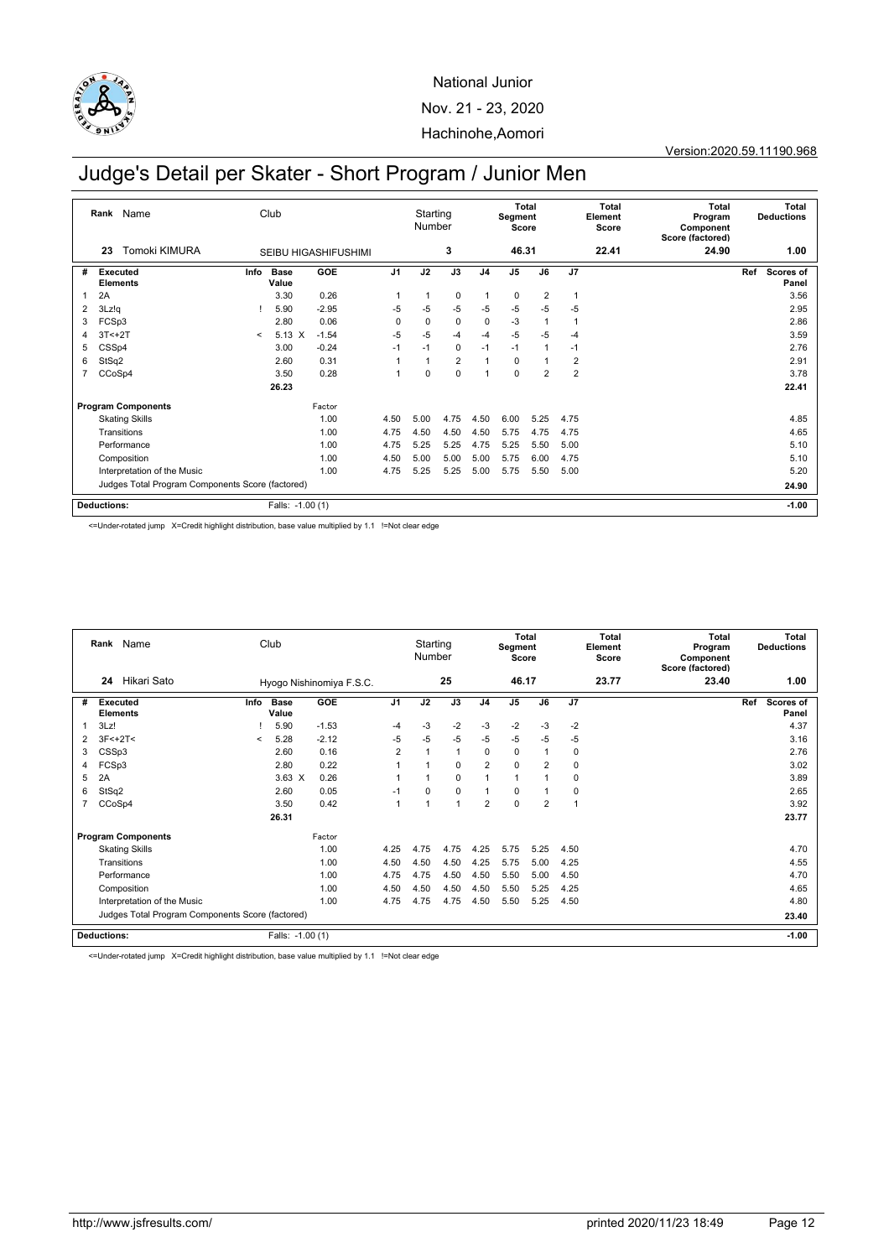

#### Version:2020.59.11190.968

# Judge's Detail per Skater - Short Program / Junior Men

|   | Club<br>Rank Name<br><b>Tomoki KIMURA</b><br>23  |         |                  |                      |                | Starting<br>Number |                |                | Total<br>Segment<br>Score |                |                | Total<br>Element<br>Score | Total<br>Program<br>Component<br>Score (factored) | Total<br><b>Deductions</b> |
|---|--------------------------------------------------|---------|------------------|----------------------|----------------|--------------------|----------------|----------------|---------------------------|----------------|----------------|---------------------------|---------------------------------------------------|----------------------------|
|   |                                                  |         |                  | SEIBU HIGASHIFUSHIMI |                |                    | 3              |                | 46.31                     |                |                | 22.41                     | 24.90                                             | 1.00                       |
| # | <b>Executed</b><br><b>Elements</b>               | Info    | Base<br>Value    | GOE                  | J <sub>1</sub> | J2                 | J3             | J <sub>4</sub> | J <sub>5</sub>            | J6             | J7             |                           |                                                   | Ref<br>Scores of<br>Panel  |
|   | 2A                                               |         | 3.30             | 0.26                 |                |                    | $\mathbf 0$    | 1              | $\mathbf 0$               | $\overline{2}$ |                |                           |                                                   | 3.56                       |
| 2 | 3Lz!g                                            |         | 5.90             | $-2.95$              | $-5$           | $-5$               | $-5$           | $-5$           | $-5$                      | $-5$           | $-5$           |                           |                                                   | 2.95                       |
| 3 | FCSp3                                            |         | 2.80             | 0.06                 | $\mathbf 0$    | $\mathbf 0$        | $\mathbf 0$    | $\mathbf 0$    | -3                        | -1             |                |                           |                                                   | 2.86                       |
| 4 | $3T<+2T$                                         | $\prec$ | $5.13 \text{ X}$ | $-1.54$              | $-5$           | $-5$               | $-4$           | $-4$           | $-5$                      | $-5$           | $-4$           |                           |                                                   | 3.59                       |
| 5 | CSSp4                                            |         | 3.00             | $-0.24$              | $-1$           | $-1$               | $\mathbf 0$    | $-1$           | $-1$                      | 1              | $-1$           |                           |                                                   | 2.76                       |
| 6 | StSq2                                            |         | 2.60             | 0.31                 |                |                    | $\overline{2}$ | $\overline{1}$ | $\mathbf 0$               |                | $\overline{2}$ |                           |                                                   | 2.91                       |
|   | CCoSp4                                           |         | 3.50             | 0.28                 | 1              | $\mathbf 0$        | $\mathbf 0$    | 1              | 0                         | $\overline{2}$ | $\overline{2}$ |                           |                                                   | 3.78                       |
|   |                                                  |         | 26.23            |                      |                |                    |                |                |                           |                |                |                           |                                                   | 22.41                      |
|   | <b>Program Components</b>                        |         |                  | Factor               |                |                    |                |                |                           |                |                |                           |                                                   |                            |
|   | <b>Skating Skills</b>                            |         |                  | 1.00                 | 4.50           | 5.00               | 4.75           | 4.50           | 6.00                      | 5.25           | 4.75           |                           |                                                   | 4.85                       |
|   | Transitions                                      |         |                  | 1.00                 | 4.75           | 4.50               | 4.50           | 4.50           | 5.75                      | 4.75           | 4.75           |                           |                                                   | 4.65                       |
|   | Performance                                      |         |                  | 1.00                 | 4.75           | 5.25               | 5.25           | 4.75           | 5.25                      | 5.50           | 5.00           |                           |                                                   | 5.10                       |
|   | Composition                                      |         |                  | 1.00                 | 4.50           | 5.00               | 5.00           | 5.00           | 5.75                      | 6.00           | 4.75           |                           |                                                   | 5.10                       |
|   | Interpretation of the Music                      |         |                  | 1.00                 | 4.75           | 5.25               | 5.25           | 5.00           | 5.75                      | 5.50           | 5.00           |                           |                                                   | 5.20                       |
|   | Judges Total Program Components Score (factored) |         |                  |                      |                |                    |                |                |                           |                |                |                           |                                                   | 24.90                      |
|   | <b>Deductions:</b>                               |         | Falls: -1.00 (1) |                      |                |                    |                |                |                           |                |                |                           |                                                   | $-1.00$                    |

<=Under-rotated jump X=Credit highlight distribution, base value multiplied by 1.1 !=Not clear edge

|   | Rank Name<br>Hikari Sato<br>24                   |         | Club                 |                          |                | Starting<br>Number |                |                | Total<br>Segment<br>Score |                |                | Total<br>Element<br>Score | Total<br>Program<br>Component<br>Score (factored) |     | Total<br><b>Deductions</b> |
|---|--------------------------------------------------|---------|----------------------|--------------------------|----------------|--------------------|----------------|----------------|---------------------------|----------------|----------------|---------------------------|---------------------------------------------------|-----|----------------------------|
|   |                                                  |         |                      | Hyogo Nishinomiya F.S.C. |                |                    | 25             |                | 46.17                     |                |                | 23.77                     | 23.40                                             |     | 1.00                       |
| # | <b>Executed</b><br><b>Elements</b>               | Info    | <b>Base</b><br>Value | <b>GOE</b>               | J <sub>1</sub> | J2                 | J3             | J <sub>4</sub> | J <sub>5</sub>            | J6             | J7             |                           |                                                   | Ref | Scores of<br>Panel         |
|   | 3Lz!                                             |         | 5.90                 | $-1.53$                  | $-4$           | $-3$               | $-2$           | $-3$           | $-2$                      | $-3$           | $-2$           |                           |                                                   |     | 4.37                       |
| 2 | $3F<+2T<$                                        | $\,<\,$ | 5.28                 | $-2.12$                  | $-5$           | $-5$               | $-5$           | $-5$           | $-5$                      | $-5$           | $-5$           |                           |                                                   |     | 3.16                       |
| 3 | CSSp3                                            |         | 2.60                 | 0.16                     | $\overline{2}$ |                    | $\overline{1}$ | $\mathbf 0$    | $\mathbf 0$               | 1              | $\mathbf 0$    |                           |                                                   |     | 2.76                       |
| 4 | FCSp3                                            |         | 2.80                 | 0.22                     |                |                    | $\mathbf 0$    | $\overline{2}$ | $\Omega$                  | $\overline{2}$ | $\mathbf 0$    |                           |                                                   |     | 3.02                       |
| 5 | 2A                                               |         | $3.63 \times$        | 0.26                     |                |                    | $\mathbf 0$    |                | $\mathbf{1}$              |                | $\mathbf 0$    |                           |                                                   |     | 3.89                       |
| 6 | StSq2                                            |         | 2.60                 | 0.05                     | $-1$           | $\mathbf 0$        | $\mathbf 0$    | $\overline{1}$ | $\mathbf 0$               |                | $\mathbf 0$    |                           |                                                   |     | 2.65                       |
|   | CCoSp4                                           |         | 3.50                 | 0.42                     |                | $\overline{1}$     | $\overline{1}$ | $\overline{2}$ | $\mathbf 0$               | $\overline{2}$ | $\overline{1}$ |                           |                                                   |     | 3.92                       |
|   |                                                  |         | 26.31                |                          |                |                    |                |                |                           |                |                |                           |                                                   |     | 23.77                      |
|   | <b>Program Components</b>                        |         |                      | Factor                   |                |                    |                |                |                           |                |                |                           |                                                   |     |                            |
|   | <b>Skating Skills</b>                            |         |                      | 1.00                     | 4.25           | 4.75               | 4.75           | 4.25           | 5.75                      | 5.25           | 4.50           |                           |                                                   |     | 4.70                       |
|   | Transitions                                      |         |                      | 1.00                     | 4.50           | 4.50               | 4.50           | 4.25           | 5.75                      | 5.00           | 4.25           |                           |                                                   |     | 4.55                       |
|   | Performance                                      |         |                      | 1.00                     | 4.75           | 4.75               | 4.50           | 4.50           | 5.50                      | 5.00           | 4.50           |                           |                                                   |     | 4.70                       |
|   | Composition                                      |         |                      | 1.00                     | 4.50           | 4.50               | 4.50           | 4.50           | 5.50                      | 5.25           | 4.25           |                           |                                                   |     | 4.65                       |
|   | Interpretation of the Music                      |         |                      | 1.00                     | 4.75           | 4.75               | 4.75           | 4.50           | 5.50                      | 5.25           | 4.50           |                           |                                                   |     | 4.80                       |
|   | Judges Total Program Components Score (factored) |         |                      |                          |                |                    |                |                |                           |                |                |                           |                                                   |     | 23.40                      |
|   | <b>Deductions:</b>                               |         | Falls: -1.00 (1)     |                          |                |                    |                |                |                           |                |                |                           |                                                   |     | $-1.00$                    |

<=Under-rotated jump X=Credit highlight distribution, base value multiplied by 1.1 !=Not clear edge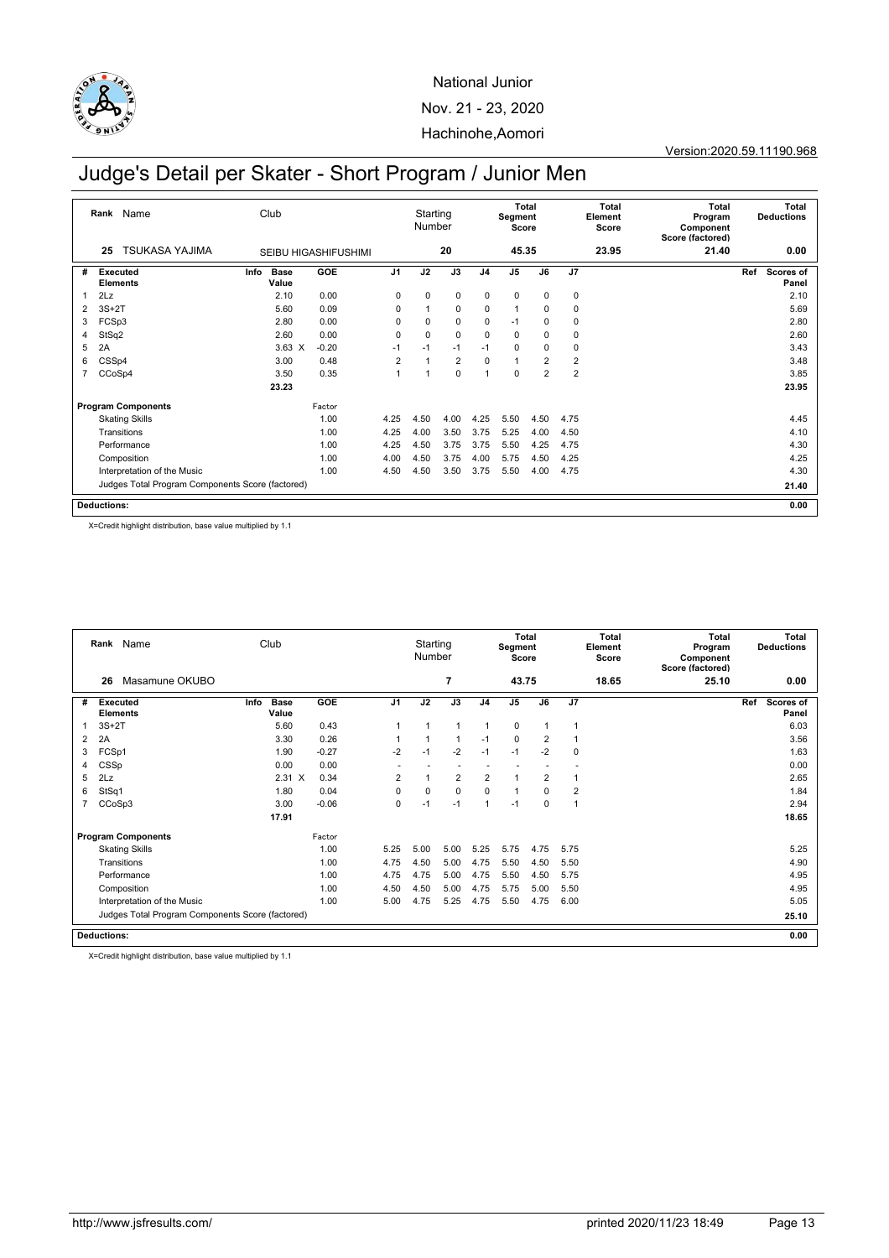

Version:2020.59.11190.968

# Judge's Detail per Skater - Short Program / Junior Men

|                | Rank Name                                        | Club                         |                             |                |             | Starting<br>Number |                | <b>Total</b><br>Segment<br>Score |                |                | Total<br>Element<br>Score | <b>Total</b><br>Program<br>Component<br>Score (factored) | <b>Total</b><br><b>Deductions</b> |
|----------------|--------------------------------------------------|------------------------------|-----------------------------|----------------|-------------|--------------------|----------------|----------------------------------|----------------|----------------|---------------------------|----------------------------------------------------------|-----------------------------------|
|                | <b>TSUKASA YAJIMA</b><br>25                      |                              | <b>SEIBU HIGASHIFUSHIMI</b> |                |             | 20                 |                | 45.35                            |                |                | 23.95                     | 21.40                                                    | 0.00                              |
| #              | <b>Executed</b><br><b>Elements</b>               | Info<br><b>Base</b><br>Value | <b>GOE</b>                  | J <sub>1</sub> | J2          | J3                 | J <sub>4</sub> | J <sub>5</sub>                   | J6             | J7             |                           |                                                          | Ref<br>Scores of<br>Panel         |
| 1              | 2Lz                                              | 2.10                         | 0.00                        | 0              | 0           | $\mathbf 0$        | $\mathbf 0$    | $\mathbf 0$                      | $\mathbf 0$    | 0              |                           |                                                          | 2.10                              |
| $\overline{2}$ | $3S+2T$                                          | 5.60                         | 0.09                        | 0              | 1           | $\mathbf 0$        | $\mathbf 0$    | $\overline{1}$                   | 0              | 0              |                           |                                                          | 5.69                              |
| 3              | FCSp3                                            | 2.80                         | 0.00                        | 0              | $\mathbf 0$ | $\mathbf 0$        | $\mathbf 0$    | $-1$                             | 0              | 0              |                           |                                                          | 2.80                              |
| 4              | StSq2                                            | 2.60                         | 0.00                        | 0              | $\mathbf 0$ | $\mathbf 0$        | $\mathbf 0$    | $\mathbf 0$                      | 0              | 0              |                           |                                                          | 2.60                              |
| 5              | 2A                                               | $3.63 \times$                | $-0.20$                     | $-1$           | $-1$        | $-1$               | $-1$           | $\mathbf 0$                      | $\mathbf 0$    | $\mathbf 0$    |                           |                                                          | 3.43                              |
| 6              | CSSp4                                            | 3.00                         | 0.48                        | $\overline{2}$ | 1           | $\overline{2}$     | $\mathbf 0$    | 1                                | $\overline{2}$ | $\overline{2}$ |                           |                                                          | 3.48                              |
|                | CCoSp4                                           | 3.50                         | 0.35                        | 1              | 1           | $\mathbf 0$        | 1              | 0                                | 2              | $\overline{2}$ |                           |                                                          | 3.85                              |
|                |                                                  | 23.23                        |                             |                |             |                    |                |                                  |                |                |                           |                                                          | 23.95                             |
|                | <b>Program Components</b>                        |                              | Factor                      |                |             |                    |                |                                  |                |                |                           |                                                          |                                   |
|                | <b>Skating Skills</b>                            |                              | 1.00                        | 4.25           | 4.50        | 4.00               | 4.25           | 5.50                             | 4.50           | 4.75           |                           |                                                          | 4.45                              |
|                | Transitions                                      |                              | 1.00                        | 4.25           | 4.00        | 3.50               | 3.75           | 5.25                             | 4.00           | 4.50           |                           |                                                          | 4.10                              |
|                | Performance                                      |                              | 1.00                        | 4.25           | 4.50        | 3.75               | 3.75           | 5.50                             | 4.25           | 4.75           |                           |                                                          | 4.30                              |
|                | Composition                                      |                              | 1.00                        | 4.00           | 4.50        | 3.75               | 4.00           | 5.75                             | 4.50           | 4.25           |                           |                                                          | 4.25                              |
|                | Interpretation of the Music                      |                              | 1.00                        | 4.50           | 4.50        | 3.50               | 3.75           | 5.50                             | 4.00           | 4.75           |                           |                                                          | 4.30                              |
|                | Judges Total Program Components Score (factored) |                              |                             |                |             |                    |                |                                  |                |                |                           |                                                          | 21.40                             |
|                | <b>Deductions:</b>                               |                              |                             |                |             |                    |                |                                  |                |                |                           |                                                          | 0.00                              |

X=Credit highlight distribution, base value multiplied by 1.1

|                | Rank Name                          |                                                  | Club |                      |            |                | Starting<br>Number |                |                | Segment<br>Score | Total          |                | Total<br>Element<br>Score | <b>Total</b><br>Program<br>Component<br>Score (factored) | <b>Total</b><br><b>Deductions</b> |                    |
|----------------|------------------------------------|--------------------------------------------------|------|----------------------|------------|----------------|--------------------|----------------|----------------|------------------|----------------|----------------|---------------------------|----------------------------------------------------------|-----------------------------------|--------------------|
|                | 26                                 | Masamune OKUBO                                   |      |                      |            |                |                    | 7              |                | 43.75            |                |                | 18.65                     | 25.10                                                    |                                   | 0.00               |
| #              | <b>Executed</b><br><b>Elements</b> |                                                  | Info | <b>Base</b><br>Value | <b>GOE</b> | J <sub>1</sub> | J2                 | J3             | J <sub>4</sub> | J <sub>5</sub>   | J6             | J7             |                           |                                                          | Ref                               | Scores of<br>Panel |
|                | $3S+2T$                            |                                                  |      | 5.60                 | 0.43       |                |                    | 1              | $\mathbf{1}$   | $\mathbf 0$      | $\mathbf{1}$   | 1              |                           |                                                          |                                   | 6.03               |
| $\overline{2}$ | 2A                                 |                                                  |      | 3.30                 | 0.26       |                |                    | 1              | $-1$           | $\mathbf 0$      | $\overline{2}$ | 1              |                           |                                                          |                                   | 3.56               |
| 3              | FCSp1                              |                                                  |      | 1.90                 | $-0.27$    | $-2$           | $-1$               | $-2$           | $-1$           | $-1$             | $-2$           | 0              |                           |                                                          |                                   | 1.63               |
| 4              | CSSp                               |                                                  |      | 0.00                 | 0.00       |                |                    |                |                |                  |                |                |                           |                                                          |                                   | 0.00               |
| 5              | 2Lz                                |                                                  |      | $2.31 \times$        | 0.34       | $\overline{2}$ |                    | $\overline{2}$ | $\overline{2}$ | $\overline{1}$   | $\overline{2}$ | 1              |                           |                                                          |                                   | 2.65               |
| 6              | StSq1                              |                                                  |      | 1.80                 | 0.04       | $\mathbf 0$    | $\mathbf 0$        | $\mathbf 0$    | $\mathbf 0$    | $\mathbf{1}$     | $\Omega$       | $\overline{2}$ |                           |                                                          |                                   | 1.84               |
|                | CCoSp3                             |                                                  |      | 3.00                 | $-0.06$    | $\mathbf 0$    | $-1$               | $-1$           | $\mathbf{1}$   | $-1$             | $\mathbf 0$    | 1              |                           |                                                          |                                   | 2.94               |
|                |                                    |                                                  |      | 17.91                |            |                |                    |                |                |                  |                |                |                           |                                                          |                                   | 18.65              |
|                |                                    | <b>Program Components</b>                        |      |                      | Factor     |                |                    |                |                |                  |                |                |                           |                                                          |                                   |                    |
|                | <b>Skating Skills</b>              |                                                  |      |                      | 1.00       | 5.25           | 5.00               | 5.00           | 5.25           | 5.75             | 4.75           | 5.75           |                           |                                                          |                                   | 5.25               |
|                | Transitions                        |                                                  |      |                      | 1.00       | 4.75           | 4.50               | 5.00           | 4.75           | 5.50             | 4.50           | 5.50           |                           |                                                          |                                   | 4.90               |
|                | Performance                        |                                                  |      |                      | 1.00       | 4.75           | 4.75               | 5.00           | 4.75           | 5.50             | 4.50           | 5.75           |                           |                                                          |                                   | 4.95               |
|                | Composition                        |                                                  |      |                      | 1.00       | 4.50           | 4.50               | 5.00           | 4.75           | 5.75             | 5.00           | 5.50           |                           |                                                          |                                   | 4.95               |
|                |                                    | Interpretation of the Music                      |      |                      | 1.00       | 5.00           | 4.75               | 5.25           | 4.75           | 5.50             | 4.75           | 6.00           |                           |                                                          |                                   | 5.05               |
|                |                                    | Judges Total Program Components Score (factored) |      |                      |            |                |                    |                |                |                  |                |                |                           |                                                          |                                   | 25.10              |
|                | <b>Deductions:</b>                 |                                                  |      |                      |            |                |                    |                |                |                  |                |                |                           |                                                          |                                   | 0.00               |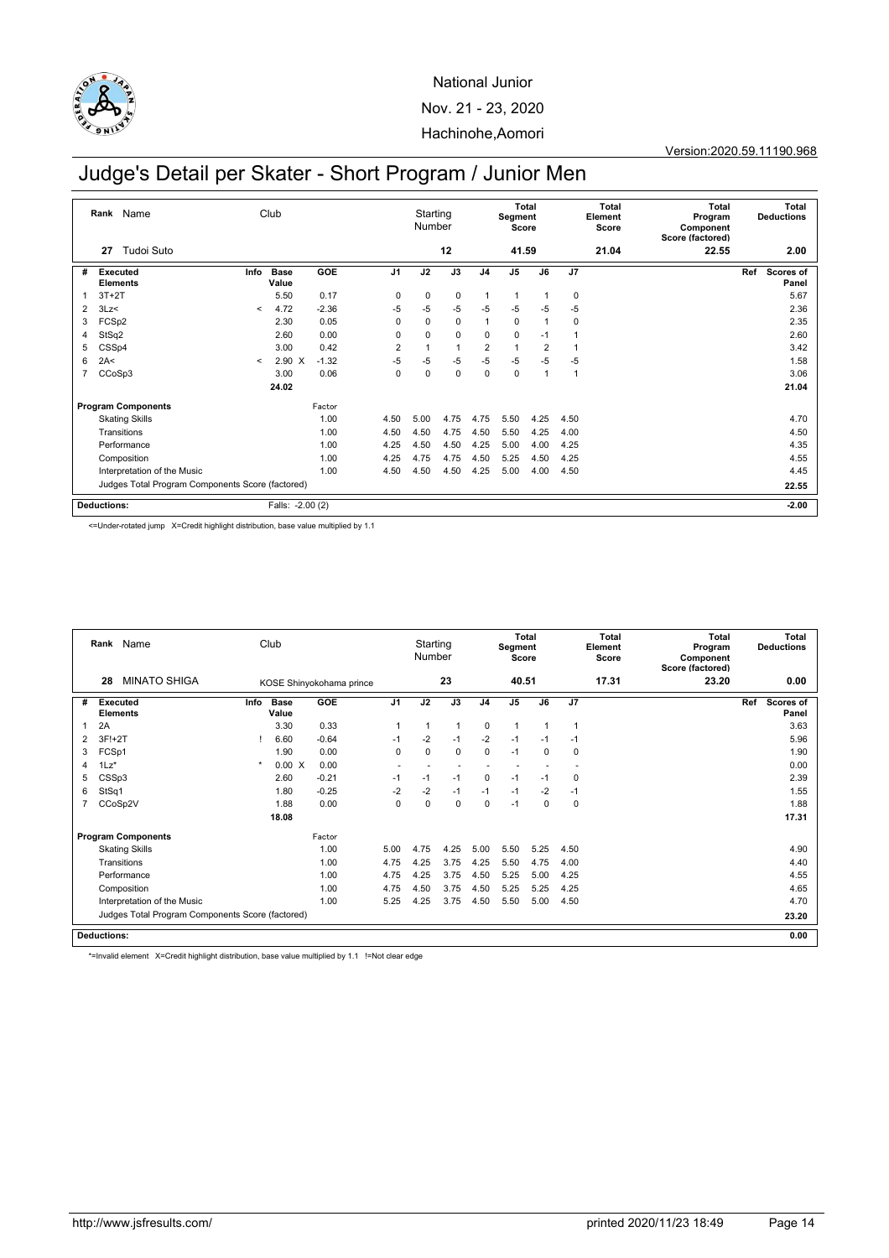

Version:2020.59.11190.968

# Judge's Detail per Skater - Short Program / Junior Men

|                    |                             | Rank Name                                        |         | Club                 |            |                | Starting<br>Number |              |                | Total<br>Segment<br>Score |                | Total<br>Element<br>Score |       | Total<br>Program<br>Component<br>Score (factored) |       | Total<br><b>Deductions</b> |
|--------------------|-----------------------------|--------------------------------------------------|---------|----------------------|------------|----------------|--------------------|--------------|----------------|---------------------------|----------------|---------------------------|-------|---------------------------------------------------|-------|----------------------------|
|                    | 27                          | <b>Tudoi Suto</b>                                |         |                      |            |                |                    | 12           |                | 41.59                     |                |                           | 21.04 | 22.55                                             |       | 2.00                       |
| #                  | Executed<br><b>Elements</b> |                                                  | Info    | <b>Base</b><br>Value | <b>GOE</b> | J <sub>1</sub> | J2                 | J3           | J <sub>4</sub> | J5                        | J6             | J7                        |       |                                                   | Ref   | Scores of<br>Panel         |
| 1                  | $3T+2T$                     |                                                  |         | 5.50                 | 0.17       | 0              | $\mathbf 0$        | $\mathbf 0$  | $\overline{1}$ | $\mathbf{1}$              |                | $\mathbf 0$               |       |                                                   |       | 5.67                       |
| $\overline{2}$     | 3Lz                         |                                                  | $\,<\,$ | 4.72                 | $-2.36$    | $-5$           | $-5$               | $-5$         | $-5$           | $-5$                      | $-5$           | $-5$                      |       |                                                   |       | 2.36                       |
| 3                  | FCSp2                       |                                                  |         | 2.30                 | 0.05       | 0              | 0                  | $\mathbf 0$  |                | $\mathsf 0$               |                | 0                         |       |                                                   |       | 2.35                       |
| 4                  | StSq2                       |                                                  |         | 2.60                 | 0.00       | 0              | 0                  | $\mathbf 0$  | 0              | $\mathbf 0$               | $-1$           | 1                         |       |                                                   |       | 2.60                       |
| 5                  | CSSp4                       |                                                  |         | 3.00                 | 0.42       | $\overline{2}$ | 1                  | $\mathbf{1}$ | $\overline{2}$ | $\mathbf{1}$              | $\overline{2}$ | -1                        |       |                                                   |       | 3.42                       |
| 6                  | 2A<                         |                                                  | $\prec$ | 2.90 X               | $-1.32$    | $-5$           | $-5$               | $-5$         | $-5$           | $-5$                      | $-5$           | $-5$                      |       |                                                   |       | 1.58                       |
| $\overline{7}$     | CCoSp3                      |                                                  |         | 3.00                 | 0.06       | 0              | 0                  | $\mathbf 0$  | $\mathbf 0$    | $\mathbf 0$               |                | $\mathbf{1}$              |       |                                                   |       | 3.06                       |
|                    |                             |                                                  |         | 24.02                |            |                |                    |              |                |                           |                |                           |       |                                                   |       | 21.04                      |
|                    |                             | <b>Program Components</b>                        |         |                      | Factor     |                |                    |              |                |                           |                |                           |       |                                                   |       |                            |
|                    |                             | <b>Skating Skills</b>                            |         |                      | 1.00       | 4.50           | 5.00               | 4.75         | 4.75           | 5.50                      | 4.25           | 4.50                      |       |                                                   |       | 4.70                       |
|                    |                             | Transitions                                      |         |                      | 1.00       | 4.50           | 4.50               | 4.75         | 4.50           | 5.50                      | 4.25           | 4.00                      |       |                                                   |       | 4.50                       |
|                    |                             | Performance                                      |         |                      | 1.00       | 4.25           | 4.50               | 4.50         | 4.25           | 5.00                      | 4.00           | 4.25                      |       |                                                   |       | 4.35                       |
|                    |                             | Composition                                      |         |                      | 1.00       | 4.25           | 4.75               | 4.75         | 4.50           | 5.25                      | 4.50           | 4.25                      |       |                                                   |       | 4.55                       |
|                    |                             | Interpretation of the Music                      |         |                      | 1.00       | 4.50           | 4.50               | 4.50         | 4.25           | 5.00                      | 4.00           | 4.50                      |       |                                                   |       | 4.45                       |
|                    |                             | Judges Total Program Components Score (factored) |         |                      |            |                |                    |              |                |                           |                |                           |       |                                                   | 22.55 |                            |
| <b>Deductions:</b> |                             |                                                  |         | Falls: -2.00 (2)     |            |                |                    |              |                |                           |                |                           |       |                                                   |       | $-2.00$                    |

<=Under-rotated jump X=Credit highlight distribution, base value multiplied by 1.1

|   | Rank Name                                        |                          | Club                 |            | Starting<br>Number |             |             |                | Segment<br>Score | Total    | Total<br>Element<br>Score |       | Total<br>Program<br>Component<br>Score (factored) | <b>Total</b><br><b>Deductions</b> |
|---|--------------------------------------------------|--------------------------|----------------------|------------|--------------------|-------------|-------------|----------------|------------------|----------|---------------------------|-------|---------------------------------------------------|-----------------------------------|
|   | <b>MINATO SHIGA</b><br>28                        | KOSE Shinyokohama prince |                      |            |                    | 23          |             |                | 40.51            |          |                           | 17.31 | 23.20                                             | 0.00                              |
| # | <b>Executed</b><br><b>Elements</b>               | Info                     | <b>Base</b><br>Value | <b>GOE</b> | J <sub>1</sub>     | J2          | J3          | J <sub>4</sub> | J <sub>5</sub>   | J6       | J7                        |       |                                                   | Ref<br>Scores of<br>Panel         |
|   | 2A                                               |                          | 3.30                 | 0.33       | -1                 |             | -1          | $\Omega$       | 1                | 1        | $\mathbf{1}$              |       |                                                   | 3.63                              |
| 2 | 3F!+2T                                           |                          | 6.60                 | $-0.64$    | $-1$               | $-2$        | $-1$        | $-2$           | $-1$             | $-1$     | $-1$                      |       |                                                   | 5.96                              |
| 3 | FCSp1                                            |                          | 1.90                 | 0.00       | $\Omega$           | $\mathbf 0$ | $\mathbf 0$ | $\mathbf 0$    | $-1$             | $\Omega$ | $\mathbf 0$               |       |                                                   | 1.90                              |
| 4 | $1\text{Lz}^*$                                   | $\star$                  | 0.00 X               | 0.00       |                    |             |             |                |                  |          |                           |       |                                                   | 0.00                              |
| 5 | CSSp3                                            |                          | 2.60                 | $-0.21$    | $-1$               | $-1$        | $-1$        | $\Omega$       | $-1$             | $-1$     | $\mathbf 0$               |       |                                                   | 2.39                              |
| 6 | StSq1                                            |                          | 1.80                 | $-0.25$    | $-2$               | $-2$        | $-1$        | $-1$           | $-1$             | $-2$     | $-1$                      |       |                                                   | 1.55                              |
|   | CCoSp2V                                          |                          | 1.88                 | 0.00       | $\mathbf 0$        | $\mathbf 0$ | $\mathbf 0$ | 0              | $-1$             | 0        | 0                         |       |                                                   | 1.88                              |
|   |                                                  |                          | 18.08                |            |                    |             |             |                |                  |          |                           |       |                                                   | 17.31                             |
|   | <b>Program Components</b>                        |                          |                      | Factor     |                    |             |             |                |                  |          |                           |       |                                                   |                                   |
|   | <b>Skating Skills</b>                            |                          |                      | 1.00       | 5.00               | 4.75        | 4.25        | 5.00           | 5.50             | 5.25     | 4.50                      |       |                                                   | 4.90                              |
|   | Transitions                                      |                          |                      | 1.00       | 4.75               | 4.25        | 3.75        | 4.25           | 5.50             | 4.75     | 4.00                      |       |                                                   | 4.40                              |
|   | Performance                                      |                          |                      | 1.00       | 4.75               | 4.25        | 3.75        | 4.50           | 5.25             | 5.00     | 4.25                      |       |                                                   | 4.55                              |
|   | Composition                                      |                          |                      | 1.00       | 4.75               | 4.50        | 3.75        | 4.50           | 5.25             | 5.25     | 4.25                      |       |                                                   | 4.65                              |
|   | Interpretation of the Music                      |                          |                      | 1.00       | 5.25               | 4.25        | 3.75        | 4.50           | 5.50             | 5.00     | 4.50                      |       |                                                   | 4.70                              |
|   | Judges Total Program Components Score (factored) |                          |                      |            |                    |             |             |                |                  |          |                           |       |                                                   | 23.20                             |
|   | <b>Deductions:</b>                               |                          |                      |            |                    |             |             |                |                  |          |                           |       |                                                   | 0.00                              |

\*=Invalid element X=Credit highlight distribution, base value multiplied by 1.1 !=Not clear edge